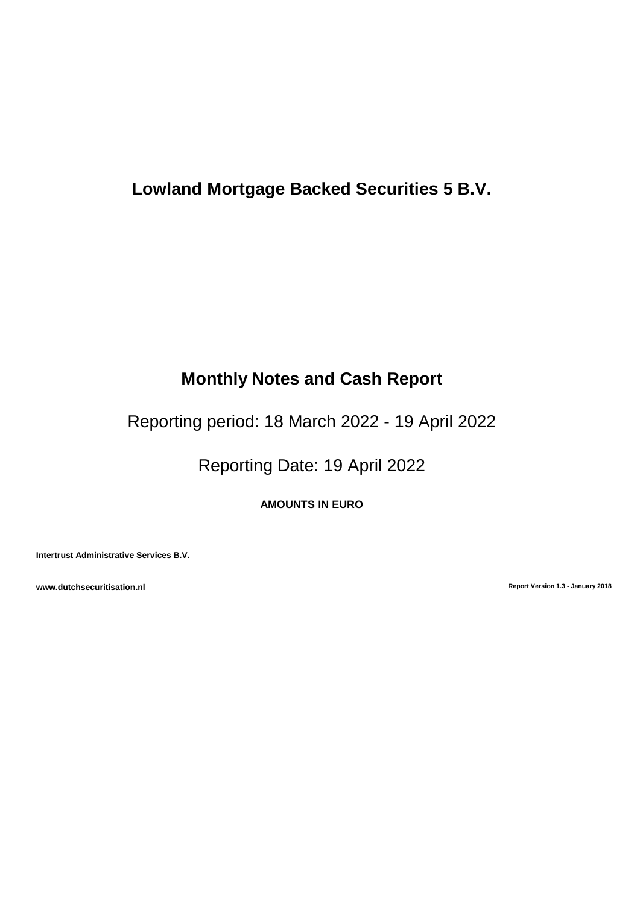# **Lowland Mortgage Backed Securities 5 B.V.**

# **Monthly Notes and Cash Report**

Reporting period: 18 March 2022 - 19 April 2022

Reporting Date: 19 April 2022

**AMOUNTS IN EURO**

**Intertrust Administrative Services B.V.**

**www.dutchsecuritisation.nl Report Version 1.3 - January 2018**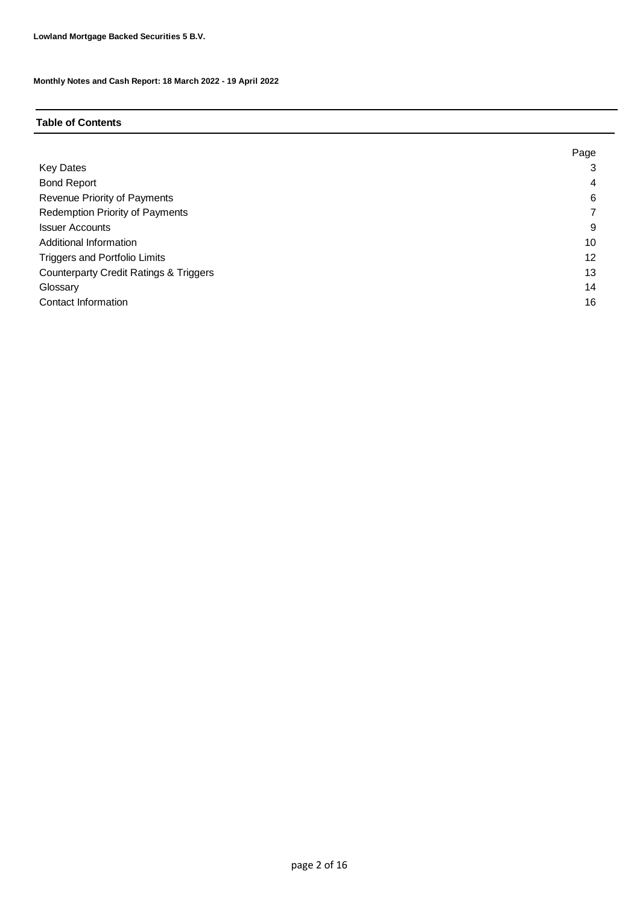## **Table of Contents**

|                                                   | Page |
|---------------------------------------------------|------|
| <b>Key Dates</b>                                  | 3    |
| <b>Bond Report</b>                                | 4    |
| Revenue Priority of Payments                      | 6    |
| <b>Redemption Priority of Payments</b>            |      |
| <b>Issuer Accounts</b>                            | 9    |
| Additional Information                            | 10   |
| <b>Triggers and Portfolio Limits</b>              | 12   |
| <b>Counterparty Credit Ratings &amp; Triggers</b> | 13   |
| Glossary                                          | 14   |
| Contact Information                               | 16   |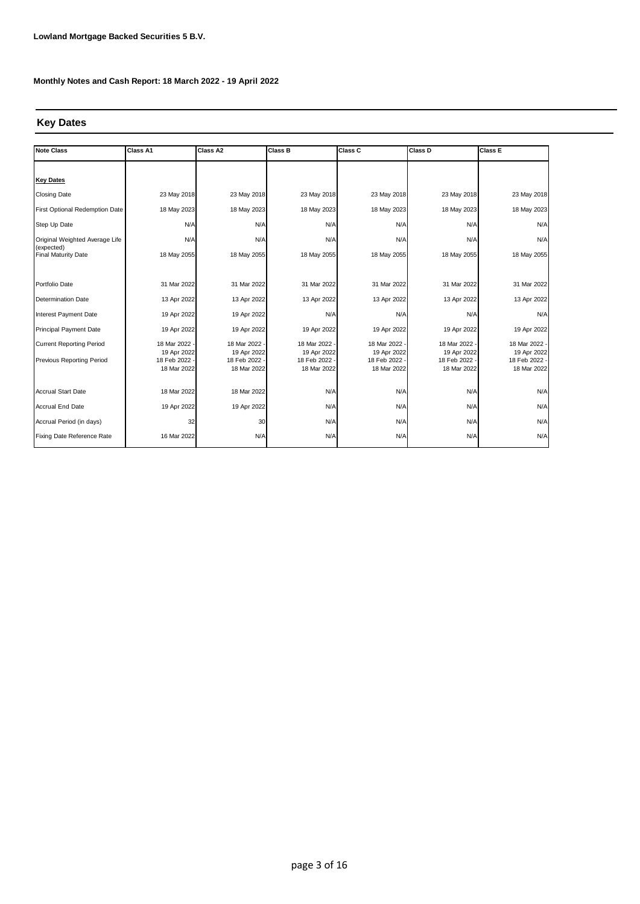## **Key Dates**

| <b>Note Class</b>                        | Class A1                   | Class A2                   | <b>Class B</b>             | Class C                    | Class D                    | Class E                      |
|------------------------------------------|----------------------------|----------------------------|----------------------------|----------------------------|----------------------------|------------------------------|
|                                          |                            |                            |                            |                            |                            |                              |
| <b>Key Dates</b>                         |                            |                            |                            |                            |                            |                              |
| <b>Closing Date</b>                      | 23 May 2018                | 23 May 2018                | 23 May 2018                | 23 May 2018                | 23 May 2018                | 23 May 2018                  |
| First Optional Redemption Date           | 18 May 2023                | 18 May 2023                | 18 May 2023                | 18 May 2023                | 18 May 2023                | 18 May 2023                  |
| Step Up Date                             | N/A                        | N/A                        | N/A                        | N/A                        | N/A                        | N/A                          |
| Original Weighted Average Life           | N/A                        | N/A                        | N/A                        | N/A                        | N/A                        | N/A                          |
| (expected)<br><b>Final Maturity Date</b> | 18 May 2055                | 18 May 2055                | 18 May 2055                | 18 May 2055                | 18 May 2055                | 18 May 2055                  |
|                                          |                            |                            |                            |                            |                            |                              |
| Portfolio Date                           | 31 Mar 2022                | 31 Mar 2022                | 31 Mar 2022                | 31 Mar 2022                | 31 Mar 2022                | 31 Mar 2022                  |
| <b>Determination Date</b>                | 13 Apr 2022                | 13 Apr 2022                | 13 Apr 2022                | 13 Apr 2022                | 13 Apr 2022                | 13 Apr 2022                  |
| Interest Payment Date                    | 19 Apr 2022                | 19 Apr 2022                | N/A                        | N/A                        | N/A                        | N/A                          |
| <b>Principal Payment Date</b>            | 19 Apr 2022                | 19 Apr 2022                | 19 Apr 2022                | 19 Apr 2022                | 19 Apr 2022                | 19 Apr 2022                  |
| <b>Current Reporting Period</b>          | 18 Mar 2022                | 18 Mar 2022 -              | 18 Mar 2022                | 18 Mar 2022                | 18 Mar 2022                | 18 Mar 2022 -                |
| Previous Reporting Period                | 19 Apr 2022<br>18 Feb 2022 | 19 Apr 2022<br>18 Feb 2022 | 19 Apr 2022<br>18 Feb 2022 | 19 Apr 2022<br>18 Feb 2022 | 19 Apr 2022<br>18 Feb 2022 | 19 Apr 2022<br>18 Feb 2022 - |
|                                          | 18 Mar 2022                | 18 Mar 2022                | 18 Mar 2022                | 18 Mar 2022                | 18 Mar 2022                | 18 Mar 2022                  |
|                                          |                            |                            |                            |                            |                            |                              |
| <b>Accrual Start Date</b>                | 18 Mar 2022                | 18 Mar 2022                | N/A                        | N/A                        | N/A                        | N/A                          |
| <b>Accrual End Date</b>                  | 19 Apr 2022                | 19 Apr 2022                | N/A                        | N/A                        | N/A                        | N/A                          |
| Accrual Period (in days)                 | 32                         | 30                         | N/A                        | N/A                        | N/A                        | N/A                          |
| Fixing Date Reference Rate               | 16 Mar 2022                | N/A                        | N/A                        | N/A                        | N/A                        | N/A                          |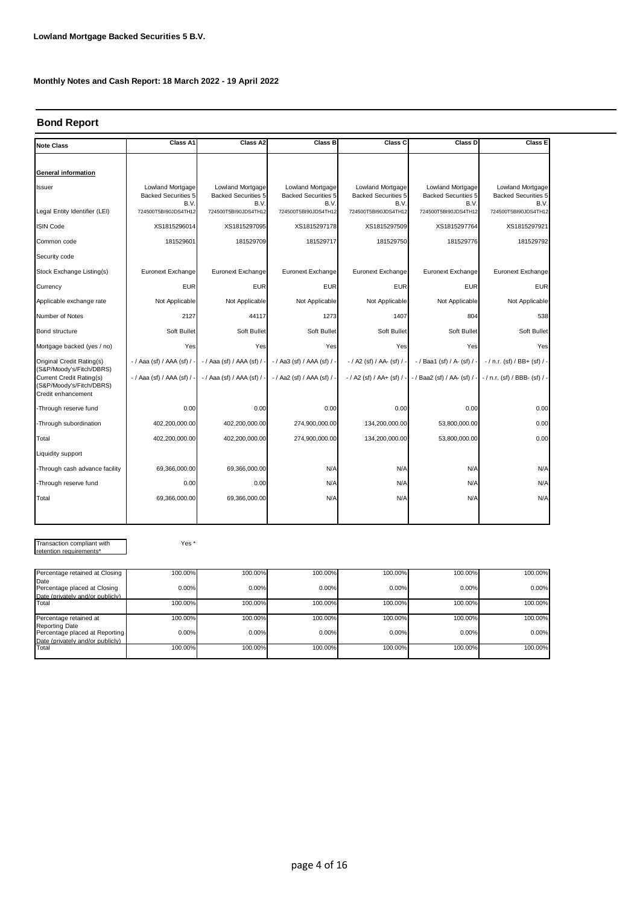## **Bond Report**

| <b>Note Class</b>                                                                                      | Class A1                                               | Class A2                                               | Class B                                                | Class C                                                | Class D                                                | <b>Class E</b>                                         |
|--------------------------------------------------------------------------------------------------------|--------------------------------------------------------|--------------------------------------------------------|--------------------------------------------------------|--------------------------------------------------------|--------------------------------------------------------|--------------------------------------------------------|
|                                                                                                        |                                                        |                                                        |                                                        |                                                        |                                                        |                                                        |
| General information                                                                                    |                                                        |                                                        |                                                        |                                                        |                                                        |                                                        |
| Issuer                                                                                                 | Lowland Mortgage<br><b>Backed Securities 5</b><br>B.V. | Lowland Mortgage<br><b>Backed Securities 5</b><br>B.V. | Lowland Mortgage<br><b>Backed Securities 5</b><br>B.V. | Lowland Mortgage<br><b>Backed Securities 5</b><br>B.V. | Lowland Mortgage<br><b>Backed Securities 5</b><br>B.V. | Lowland Mortgage<br><b>Backed Securities 5</b><br>B.V. |
| Legal Entity Identifier (LEI)                                                                          | 724500T5BI90JDS4TH12                                   | 724500T5BI90JDS4TH12                                   | 724500T5BI90JDS4TH12                                   | 724500T5BI90JDS4TH12                                   | 724500T5BI90JDS4TH12                                   | 724500T5BI90JDS4TH12                                   |
| <b>ISIN Code</b>                                                                                       | XS1815296014                                           | XS1815297095                                           | XS1815297178                                           | XS1815297509                                           | XS1815297764                                           | XS1815297921                                           |
| Common code                                                                                            | 181529601                                              | 181529709                                              | 181529717                                              | 181529750                                              | 181529776                                              | 181529792                                              |
| Security code                                                                                          |                                                        |                                                        |                                                        |                                                        |                                                        |                                                        |
| Stock Exchange Listing(s)                                                                              | Euronext Exchange                                      | Euronext Exchange                                      | Euronext Exchange                                      | Euronext Exchange                                      | Euronext Exchange                                      | Euronext Exchange                                      |
| Currency                                                                                               | <b>EUR</b>                                             | <b>EUR</b>                                             | <b>EUR</b>                                             | <b>EUR</b>                                             | <b>EUR</b>                                             | <b>EUR</b>                                             |
| Applicable exchange rate                                                                               | Not Applicable                                         | Not Applicable                                         | Not Applicable                                         | Not Applicable                                         | Not Applicable                                         | Not Applicable                                         |
| Number of Notes                                                                                        | 2127                                                   | 44117                                                  | 1273                                                   | 1407                                                   | 804                                                    | 538                                                    |
| <b>Bond structure</b>                                                                                  | Soft Bullet                                            | Soft Bullet                                            | Soft Bullet                                            | Soft Bullet                                            | Soft Bullet                                            | Soft Bullet                                            |
| Mortgage backed (yes / no)                                                                             | Yes                                                    | Yes                                                    | Yes                                                    | Yes                                                    | Yes                                                    | Yes                                                    |
| Original Credit Rating(s)                                                                              | $-$ / Aaa (sf) / AAA (sf) /                            | $-$ / Aaa (sf) / AAA (sf) /                            | - / Aa3 (sf) / AAA (sf) / -                            | - / A2 (sf) / AA- (sf) / -                             | - / Baa1 (sf) / A- (sf) / -                            | $-$ / n.r. (sf) / BB+ (sf) /                           |
| (S&P/Moody's/Fitch/DBRS)<br>Current Credit Rating(s)<br>(S&P/Moody's/Fitch/DBRS)<br>Credit enhancement | - / Aaa (sf) / AAA (sf) / -                            | - / Aaa (sf) / AAA (sf) /                              | - / Aa2 (sf) / AAA (sf) / -                            | - / A2 (sf) / AA+ (sf) / -                             | - / Baa2 (sf) / AA- (sf) / -                           | - / n.r. (sf) / BBB- (sf) / -                          |
| -Through reserve fund                                                                                  | 0.00                                                   | 0.00                                                   | 0.00                                                   | 0.00                                                   | 0.00                                                   | 0.00                                                   |
| -Through subordination                                                                                 | 402,200,000.00                                         | 402,200,000.00                                         | 274,900,000.00                                         | 134,200,000.00                                         | 53,800,000.00                                          | 0.00                                                   |
| Total                                                                                                  | 402,200,000.00                                         | 402,200,000.00                                         | 274,900,000.00                                         | 134,200,000.00                                         | 53,800,000.00                                          | 0.00                                                   |
| Liquidity support                                                                                      |                                                        |                                                        |                                                        |                                                        |                                                        |                                                        |
| -Through cash advance facility                                                                         | 69,366,000.00                                          | 69,366,000.00                                          | N/A                                                    | N/A                                                    | N/A                                                    | N/A                                                    |
| -Through reserve fund                                                                                  | 0.00                                                   | 0.00                                                   | N/A                                                    | N/A                                                    | N/A                                                    | N/A                                                    |
| Total                                                                                                  | 69,366,000.00                                          | 69,366,000.00                                          | N/A                                                    | N/A                                                    | N/A                                                    | N/A                                                    |
|                                                                                                        |                                                        |                                                        |                                                        |                                                        |                                                        |                                                        |

Transaction compliant with retention requirements\*

Yes \*

| Percentage retained at Closing                          | 100.00% | 100.00%  | 100.00% | 100.00% | 100.00% | 100.00% |
|---------------------------------------------------------|---------|----------|---------|---------|---------|---------|
| Date<br>Percentage placed at Closing                    | 0.00%   | $0.00\%$ | 0.00%   | 0.00%   | 0.00%   | 0.00%   |
| Date (privately and/or publicly)                        |         |          |         |         |         |         |
| Total                                                   | 100.00% | 100.00%  | 100.00% | 100.00% | 100.00% | 100.00% |
| Percentage retained at                                  | 100.00% | 100.00%  | 100.00% | 100.00% | 100.00% | 100.00% |
| <b>Reporting Date</b><br>Percentage placed at Reporting | 0.00%   | 0.00%    | 0.00%   | 0.00%   | 0.00%   | 0.00%   |
| Date (privately and/or publicly)                        |         |          |         |         |         |         |
| Total                                                   | 100.00% | 100.00%  | 100.00% | 100.00% | 100.00% | 100.00% |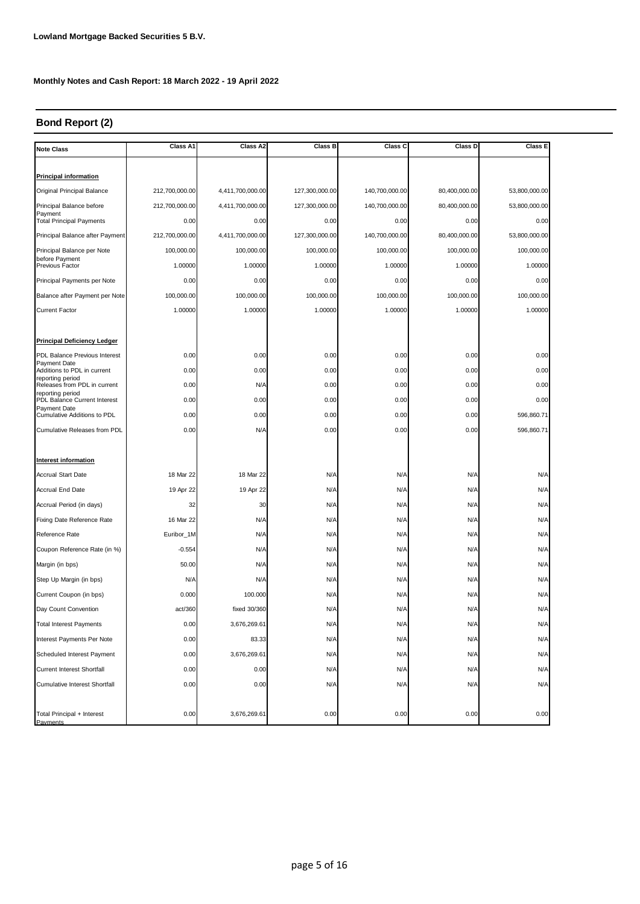## **Bond Report (2)**

| <b>Note Class</b>                                  | Class A1       | Class A2         | Class B        | Class C        | Class D       | Class E       |
|----------------------------------------------------|----------------|------------------|----------------|----------------|---------------|---------------|
|                                                    |                |                  |                |                |               |               |
| <b>Principal information</b>                       |                |                  |                |                |               |               |
| Original Principal Balance                         | 212,700,000.00 | 4,411,700,000.00 | 127,300,000.00 | 140,700,000.00 | 80,400,000.00 | 53,800,000.00 |
| Principal Balance before<br>Payment                | 212,700,000.00 | 4,411,700,000.00 | 127,300,000.00 | 140,700,000.00 | 80,400,000.00 | 53,800,000.00 |
| <b>Total Principal Payments</b>                    | 0.00           | 0.00             | 0.00           | 0.00           | 0.00          | 0.00          |
| Principal Balance after Payment                    | 212,700,000.00 | 4,411,700,000.00 | 127,300,000.00 | 140,700,000.00 | 80,400,000.00 | 53,800,000.00 |
| Principal Balance per Note                         | 100,000.00     | 100,000.00       | 100,000.00     | 100,000.00     | 100,000.00    | 100,000.00    |
| before Payment<br>Previous Factor                  | 1.00000        | 1.00000          | 1.00000        | 1.00000        | 1.00000       | 1.00000       |
| Principal Payments per Note                        | 0.00           | 0.00             | 0.00           | 0.00           | 0.00          | 0.00          |
| Balance after Payment per Note                     | 100,000.00     | 100,000.00       | 100,000.00     | 100,000.00     | 100,000.00    | 100,000.00    |
| <b>Current Factor</b>                              | 1.00000        | 1.00000          | 1.00000        | 1.00000        | 1.00000       | 1.00000       |
|                                                    |                |                  |                |                |               |               |
| <b>Principal Deficiency Ledger</b>                 |                |                  |                |                |               |               |
| PDL Balance Previous Interest                      | 0.00           | 0.00             | 0.00           | 0.00           | 0.00          | 0.00          |
| Payment Date<br>Additions to PDL in current        | 0.00           | 0.00             | 0.00           | 0.00           | 0.00          | 0.00          |
| reporting period<br>Releases from PDL in current   | 0.00           | N/A              | 0.00           | 0.00           | 0.00          | 0.00          |
| reporting period<br>PDL Balance Current Interest   | 0.00           | 0.00             | 0.00           | 0.00           | 0.00          | 0.00          |
| Payment Date<br><b>Cumulative Additions to PDL</b> | 0.00           | 0.00             | 0.00           | 0.00           | 0.00          | 596,860.71    |
| <b>Cumulative Releases from PDL</b>                | 0.00           | N/A              | 0.00           | 0.00           | 0.00          | 596,860.71    |
|                                                    |                |                  |                |                |               |               |
| Interest information                               |                |                  |                |                |               |               |
| Accrual Start Date                                 | 18 Mar 22      | 18 Mar 22        | N/A            | N/A            | N/A           | N/A           |
| <b>Accrual End Date</b>                            | 19 Apr 22      | 19 Apr 22        | N/A            | N/A            | N/A           | N/A           |
| Accrual Period (in days)                           | 32             | 30               | N/A            | N/A            | N/A           | N/A           |
| Fixing Date Reference Rate                         | 16 Mar 22      | N/A              | N/A            | N/A            | N/A           | N/A           |
| Reference Rate                                     | Euribor_1M     | N/A              | N/A            | N/A            | N/A           | N/A           |
| Coupon Reference Rate (in %)                       | $-0.554$       | N/A              | N/A            | N/A            | N/A           | N/A           |
| Margin (in bps)                                    | 50.00          | N/A              | N/A            | N/A            | N/A           | N/A           |
| Step Up Margin (in bps)                            | N/A            | N/A              | N/A            | N/A            | N/A           | N/A           |
| Current Coupon (in bps)                            | 0.000          | 100.000          | N/A            | N/A            | N/A           | N/A           |
| Day Count Convention                               | act/360        | fixed 30/360     | N/A            | N/A            | N/A           | N/A           |
| <b>Total Interest Payments</b>                     | 0.00           | 3,676,269.61     | N/A            | N/A            | N/A           | N/A           |
| Interest Payments Per Note                         | 0.00           | 83.33            | N/A            | N/A            | N/A           | N/A           |
| Scheduled Interest Payment                         | 0.00           | 3,676,269.61     | N/A            | N/A            | N/A           | N/A           |
| <b>Current Interest Shortfall</b>                  | 0.00           | 0.00             | N/A            | N/A            | N/A           | N/A           |
| <b>Cumulative Interest Shortfall</b>               | 0.00           | 0.00             | N/A            | N/A            | N/A           | N/A           |
|                                                    |                |                  |                |                |               |               |
| Total Principal + Interest<br>Payments             | 0.00           | 3,676,269.61     | 0.00           | 0.00           | 0.00          | 0.00          |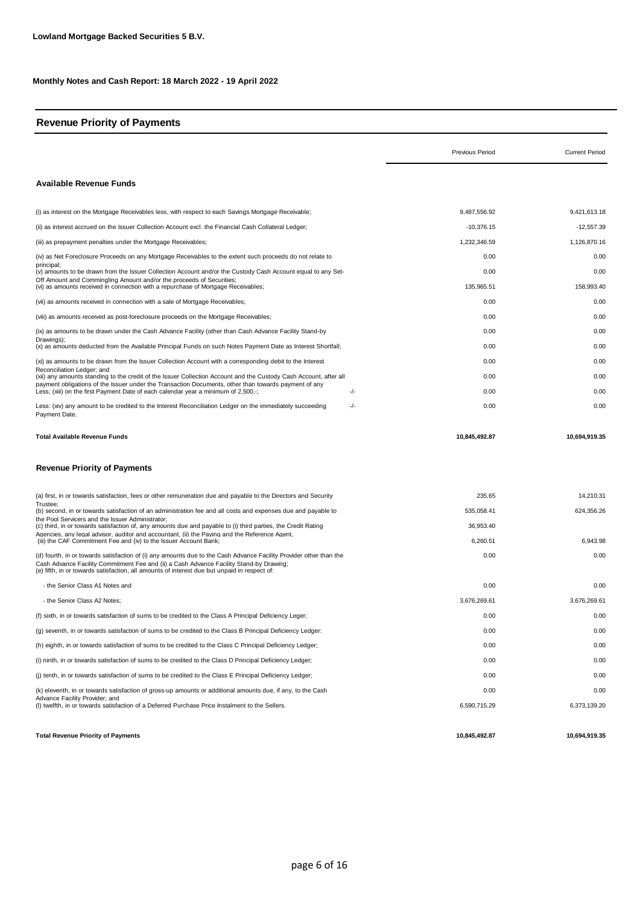## **Revenue Priority of Payments**

|                                                                                                                                                                                                                                                                                                               | <b>Previous Period</b> | <b>Current Period</b> |
|---------------------------------------------------------------------------------------------------------------------------------------------------------------------------------------------------------------------------------------------------------------------------------------------------------------|------------------------|-----------------------|
| <b>Available Revenue Funds</b>                                                                                                                                                                                                                                                                                |                        |                       |
| (i) as interest on the Mortgage Receivables less, with respect to each Savings Mortgage Receivable;                                                                                                                                                                                                           | 9,487,556.92           | 9,421,613.18          |
| (ii) as interest accrued on the Issuer Collection Account excl. the Financial Cash Collateral Ledger;                                                                                                                                                                                                         | $-10,376.15$           | $-12,557.39$          |
| (iii) as prepayment penalties under the Mortgage Receivables;                                                                                                                                                                                                                                                 | 1,232,346.59           | 1,126,870.16          |
| (iv) as Net Foreclosure Proceeds on any Mortgage Receivables to the extent such proceeds do not relate to                                                                                                                                                                                                     | 0.00                   | 0.00                  |
| principal;<br>(v) amounts to be drawn from the Issuer Collection Account and/or the Custody Cash Account equal to any Set-                                                                                                                                                                                    | 0.00                   | 0.00                  |
| Off Amount and Commingling Amount and/or the proceeds of Securities;<br>(vi) as amounts received in connection with a repurchase of Mortgage Receivables;                                                                                                                                                     | 135,965.51             | 158,993.40            |
| (vii) as amounts received in connection with a sale of Mortgage Receivables;                                                                                                                                                                                                                                  | 0.00                   | 0.00                  |
| (viii) as amounts received as post-foreclosure proceeds on the Mortgage Receivables;                                                                                                                                                                                                                          | 0.00                   | 0.00                  |
| (ix) as amounts to be drawn under the Cash Advance Facility (other than Cash Advance Facility Stand-by                                                                                                                                                                                                        | 0.00                   | 0.00                  |
| Drawings);<br>(x) as amounts deducted from the Available Principal Funds on such Notes Payment Date as Interest Shortfall;                                                                                                                                                                                    | 0.00                   | 0.00                  |
| (xi) as amounts to be drawn from the Issuer Collection Account with a corresponding debit to the Interest                                                                                                                                                                                                     | 0.00                   | 0.00                  |
| Reconciliation Ledger; and<br>(xii) any amounts standing to the credit of the Issuer Collection Account and the Custody Cash Account, after all                                                                                                                                                               | 0.00                   | 0.00                  |
| payment obligations of the Issuer under the Transaction Documents, other than towards payment of any<br>Less; (xiii) on the first Payment Date of each calendar year a minimum of 2,500,-;<br>-/-                                                                                                             | 0.00                   | 0.00                  |
| -/-<br>Less: (xiv) any amount to be credited to the Interest Reconciliation Ledger on the immediately succeeding<br>Payment Date.                                                                                                                                                                             | 0.00                   | 0.00                  |
| Total Available Revenue Funds<br><b>Revenue Priority of Payments</b>                                                                                                                                                                                                                                          | 10,845,492.87          | 10.694.919.35         |
| (a) first, in or towards satisfaction, fees or other remuneration due and payable to the Directors and Security                                                                                                                                                                                               | 235.65                 | 14,210.31             |
| Trustee;<br>(b) second, in or towards satisfaction of an administration fee and all costs and expenses due and payable to                                                                                                                                                                                     | 535,058.41             | 624,356.26            |
| the Pool Servicers and the Issuer Administrator;<br>(c) third, in or towards satisfaction of, any amounts due and payable to (i) third parties, the Credit Rating                                                                                                                                             | 36,953.40              |                       |
| Agencies, any legal advisor, auditor and accountant, (ii) the Paying and the Reference Agent,<br>(iii) the CAF Commitment Fee and (iv) to the Issuer Account Bank;                                                                                                                                            | 6,260.51               | 6,943.98              |
| (d) fourth, in or towards satisfaction of (i) any amounts due to the Cash Advance Facility Provider other than the<br>Cash Advance Facility Commitment Fee and (ii) a Cash Advance Facility Stand-by Drawing;<br>(e) fifth, in or towards satisfaction, all amounts of interest due but unpaid in respect of: | 0.00                   | 0.00                  |
| - the Senior Class A1 Notes and                                                                                                                                                                                                                                                                               | 0.00                   | 0.00                  |
| - the Senior Class A2 Notes:                                                                                                                                                                                                                                                                                  | 3,676,269.61           | 3.676.269.61          |
| (f) sixth, in or towards satisfaction of sums to be credited to the Class A Principal Deficiency Leger;                                                                                                                                                                                                       | 0.00                   | 0.00                  |
| (q) seventh, in or towards satisfaction of sums to be credited to the Class B Principal Deficiency Ledger:                                                                                                                                                                                                    | 0.00                   | 0.00                  |
| (h) eighth, in or towards satisfaction of sums to be credited to the Class C Principal Deficiency Ledger;                                                                                                                                                                                                     | 0.00                   | 0.00                  |
| (i) ninth, in or towards satisfaction of sums to be credited to the Class D Principal Deficiency Ledger;                                                                                                                                                                                                      | 0.00                   | 0.00                  |
| (i) tenth, in or towards satisfaction of sums to be credited to the Class E Principal Deficiency Ledger;                                                                                                                                                                                                      | 0.00                   | 0.00                  |
| (k) eleventh, in or towards satisfaction of gross-up amounts or additional amounts due, if any, to the Cash                                                                                                                                                                                                   | 0.00                   | 0.00                  |
| Advance Facility Provider; and<br>(I) twelfth, in or towards satisfaction of a Deferred Purchase Price Instalment to the Sellers.                                                                                                                                                                             | 6,590,715.29           | 6,373,139.20          |
| <b>Total Revenue Priority of Payments</b>                                                                                                                                                                                                                                                                     | 10,845,492.87          | 10,694,919.35         |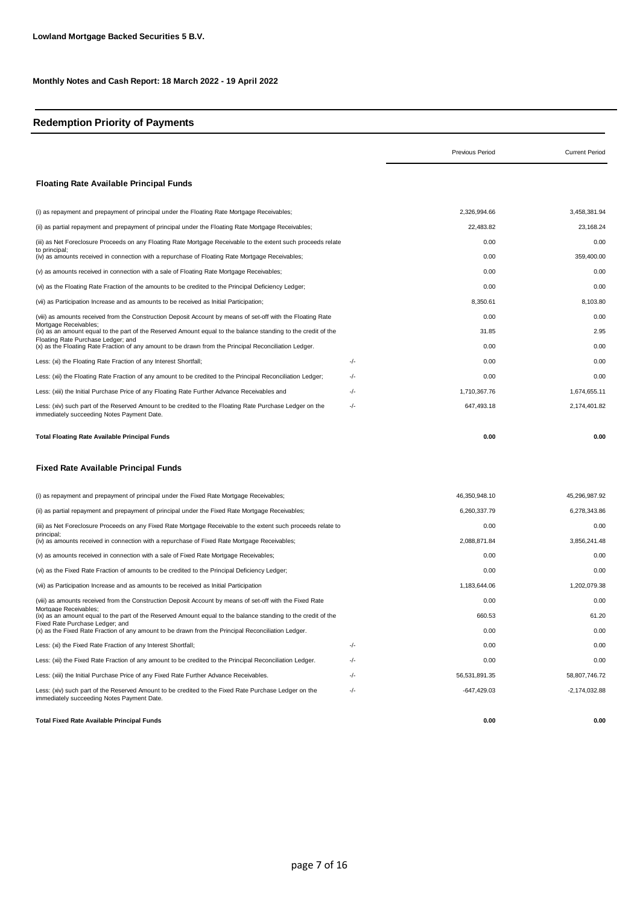## **Redemption Priority of Payments**

|                                                                                                                                                       |       | <b>Previous Period</b> | <b>Current Period</b> |
|-------------------------------------------------------------------------------------------------------------------------------------------------------|-------|------------------------|-----------------------|
| <b>Floating Rate Available Principal Funds</b>                                                                                                        |       |                        |                       |
| (i) as repayment and prepayment of principal under the Floating Rate Mortgage Receivables;                                                            |       | 2,326,994.66           | 3,458,381.94          |
| (ii) as partial repayment and prepayment of principal under the Floating Rate Mortgage Receivables;                                                   |       | 22,483.82              | 23,168.24             |
| (iii) as Net Foreclosure Proceeds on any Floating Rate Mortgage Receivable to the extent such proceeds relate                                         |       | 0.00                   | 0.00                  |
| to principal;<br>(iv) as amounts received in connection with a repurchase of Floating Rate Mortgage Receivables;                                      |       | 0.00                   | 359,400.00            |
| (v) as amounts received in connection with a sale of Floating Rate Mortgage Receivables;                                                              |       | 0.00                   | 0.00                  |
| (vi) as the Floating Rate Fraction of the amounts to be credited to the Principal Deficiency Ledger;                                                  |       | 0.00                   | 0.00                  |
| (vii) as Participation Increase and as amounts to be received as Initial Participation;                                                               |       | 8,350.61               | 8,103.80              |
| (viii) as amounts received from the Construction Deposit Account by means of set-off with the Floating Rate                                           |       | 0.00                   | 0.00                  |
| Mortgage Receivables;<br>(ix) as an amount equal to the part of the Reserved Amount equal to the balance standing to the credit of the                |       | 31.85                  | 2.95                  |
| Floating Rate Purchase Ledger; and<br>(x) as the Floating Rate Fraction of any amount to be drawn from the Principal Reconciliation Ledger.           |       | 0.00                   | 0.00                  |
| Less: (xi) the Floating Rate Fraction of any Interest Shortfall;                                                                                      | -/-   | 0.00                   | 0.00                  |
| Less: (xii) the Floating Rate Fraction of any amount to be credited to the Principal Reconciliation Ledger;                                           | -/-   | 0.00                   | 0.00                  |
| Less: (xiii) the Initial Purchase Price of any Floating Rate Further Advance Receivables and                                                          | $-/-$ | 1,710,367.76           | 1,674,655.11          |
| Less: (xiv) such part of the Reserved Amount to be credited to the Floating Rate Purchase Ledger on the<br>immediately succeeding Notes Payment Date. | -/-   | 647,493.18             | 2,174,401.82          |
| Total Floating Rate Available Principal Funds                                                                                                         |       | 0.00                   | 0.00                  |
| <b>Fixed Rate Available Principal Funds</b>                                                                                                           |       |                        |                       |
| (i) as repayment and prepayment of principal under the Fixed Rate Mortgage Receivables;                                                               |       | 46,350,948.10          | 45,296,987.92         |
| (ii) as partial repayment and prepayment of principal under the Fixed Rate Mortgage Receivables;                                                      |       | 6,260,337.79           | 6,278,343.86          |
| (iii) as Net Foreclosure Proceeds on any Fixed Rate Mortgage Receivable to the extent such proceeds relate to                                         |       | 0.00                   | 0.00                  |
| principal;<br>(iv) as amounts received in connection with a repurchase of Fixed Rate Mortgage Receivables;                                            |       | 2,088,871.84           | 3,856,241.48          |
| (v) as amounts received in connection with a sale of Fixed Rate Mortgage Receivables;                                                                 |       | 0.00                   | 0.00                  |
| (vi) as the Fixed Rate Fraction of amounts to be credited to the Principal Deficiency Ledger;                                                         |       | 0.00                   | 0.00                  |
| (vii) as Participation Increase and as amounts to be received as Initial Participation                                                                |       | 1,183,644.06           | 1,202,079.38          |
| (viii) as amounts received from the Construction Deposit Account by means of set-off with the Fixed Rate                                              |       | 0.00                   | 0.00                  |
| Mortgage Receivables:<br>(ix) as an amount equal to the part of the Reserved Amount equal to the balance standing to the credit of the                |       | 660.53                 | 61.20                 |
| Fixed Rate Purchase Ledger; and<br>(x) as the Fixed Rate Fraction of any amount to be drawn from the Principal Reconciliation Ledger.                 |       | 0.00                   | 0.00                  |
| Less: (xi) the Fixed Rate Fraction of any Interest Shortfall;                                                                                         | -/-   | 0.00                   | 0.00                  |
| Less: (xii) the Fixed Rate Fraction of any amount to be credited to the Principal Reconciliation Ledger.                                              | -/-   | 0.00                   | 0.00                  |
| Less: (xiii) the Initial Purchase Price of any Fixed Rate Further Advance Receivables.                                                                | -/-   | 56,531,891.35          | 58,807,746.72         |
| Less: (xiv) such part of the Reserved Amount to be credited to the Fixed Rate Purchase Ledger on the<br>immediately succeeding Notes Payment Date.    | -/-   | $-647,429.03$          | $-2,174,032.88$       |
| <b>Total Fixed Rate Available Principal Funds</b>                                                                                                     |       | 0.00                   | 0.00                  |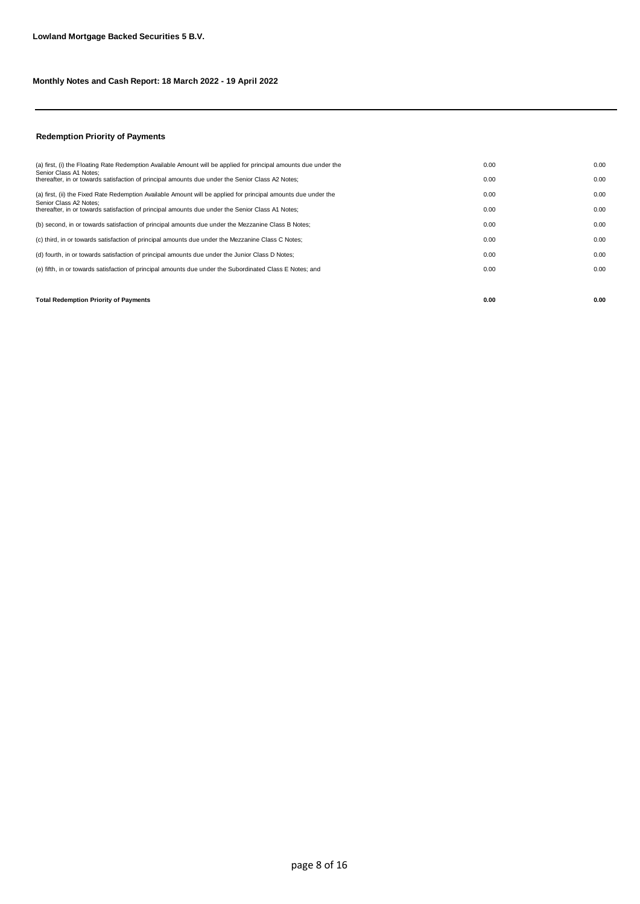## **Redemption Priority of Payments**

| <b>Total Redemption Priority of Payments</b>                                                                               | 0.00 | 0.00 |
|----------------------------------------------------------------------------------------------------------------------------|------|------|
|                                                                                                                            |      |      |
| (e) fifth, in or towards satisfaction of principal amounts due under the Subordinated Class E Notes; and                   | 0.00 | 0.00 |
| (d) fourth, in or towards satisfaction of principal amounts due under the Junior Class D Notes;                            | 0.00 | 0.00 |
| (c) third, in or towards satisfaction of principal amounts due under the Mezzanine Class C Notes;                          | 0.00 | 0.00 |
| (b) second, in or towards satisfaction of principal amounts due under the Mezzanine Class B Notes;                         | 0.00 | 0.00 |
| Senior Class A2 Notes:<br>thereafter, in or towards satisfaction of principal amounts due under the Senior Class A1 Notes; | 0.00 | 0.00 |
| (a) first, (ii) the Fixed Rate Redemption Available Amount will be applied for principal amounts due under the             | 0.00 | 0.00 |
| Senior Class A1 Notes:<br>thereafter, in or towards satisfaction of principal amounts due under the Senior Class A2 Notes; | 0.00 | 0.00 |
| (a) first, (i) the Floating Rate Redemption Available Amount will be applied for principal amounts due under the           | 0.00 | 0.00 |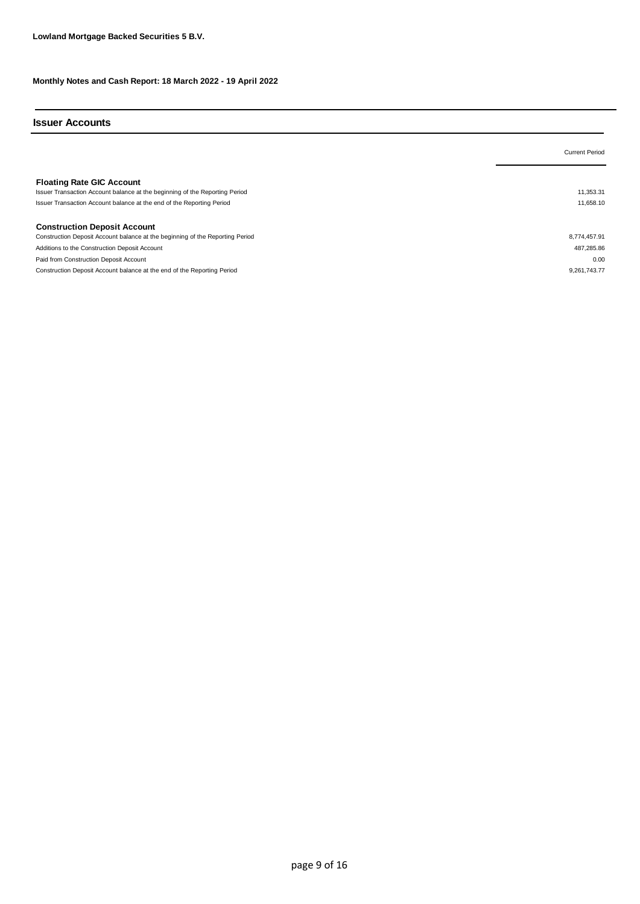#### **Issuer Accounts**

|                                                                                                                                                                                          | <b>Current Period</b>  |
|------------------------------------------------------------------------------------------------------------------------------------------------------------------------------------------|------------------------|
| <b>Floating Rate GIC Account</b><br>Issuer Transaction Account balance at the beginning of the Reporting Period<br>Issuer Transaction Account balance at the end of the Reporting Period | 11,353.31<br>11.658.10 |
| <b>Construction Deposit Account</b>                                                                                                                                                      |                        |
| Construction Deposit Account balance at the beginning of the Reporting Period                                                                                                            | 8,774,457.91           |
| Additions to the Construction Deposit Account                                                                                                                                            | 487,285.86             |
| Paid from Construction Deposit Account                                                                                                                                                   | 0.00                   |
| Construction Deposit Account balance at the end of the Reporting Period                                                                                                                  | 9.261.743.77           |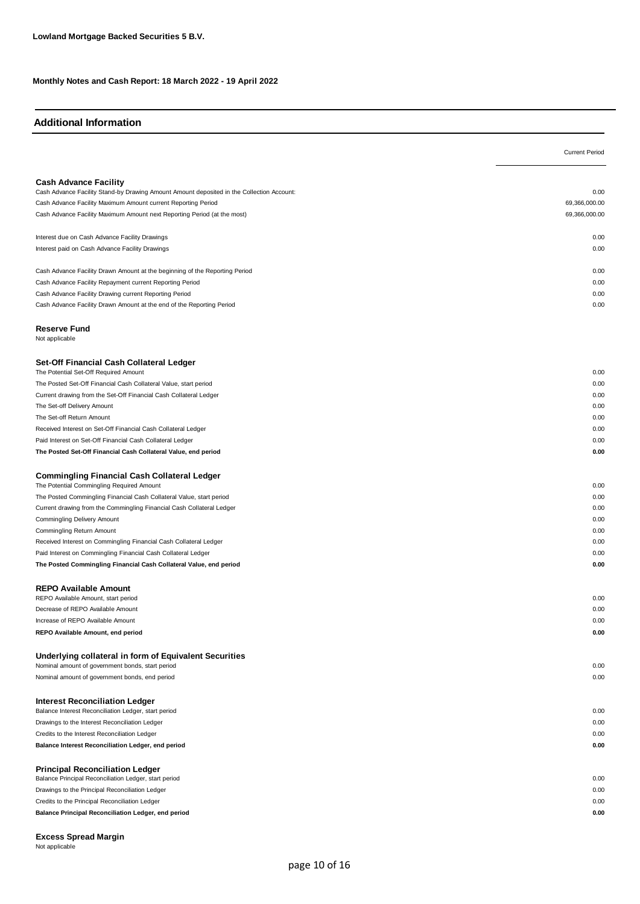#### **Additional Information**

|                                                                                           | <b>Current Period</b> |
|-------------------------------------------------------------------------------------------|-----------------------|
|                                                                                           |                       |
| <b>Cash Advance Facility</b>                                                              |                       |
| Cash Advance Facility Stand-by Drawing Amount Amount deposited in the Collection Account: | 0.00                  |
| Cash Advance Facility Maximum Amount current Reporting Period                             | 69,366,000.00         |
| Cash Advance Facility Maximum Amount next Reporting Period (at the most)                  | 69,366,000.00         |
|                                                                                           |                       |
| Interest due on Cash Advance Facility Drawings                                            | 0.00                  |
| Interest paid on Cash Advance Facility Drawings                                           | 0.00                  |
|                                                                                           |                       |
| Cash Advance Facility Drawn Amount at the beginning of the Reporting Period               | 0.00                  |
| Cash Advance Facility Repayment current Reporting Period                                  | 0.00                  |
| Cash Advance Facility Drawing current Reporting Period                                    | 0.00                  |
| Cash Advance Facility Drawn Amount at the end of the Reporting Period                     | 0.00                  |
|                                                                                           |                       |
| <b>Reserve Fund</b>                                                                       |                       |
| Not applicable                                                                            |                       |
|                                                                                           |                       |
| Set-Off Financial Cash Collateral Ledger<br>The Potential Set-Off Required Amount         | 0.00                  |
| The Posted Set-Off Financial Cash Collateral Value, start period                          | 0.00                  |
| Current drawing from the Set-Off Financial Cash Collateral Ledger                         | 0.00                  |
| The Set-off Delivery Amount                                                               | 0.00                  |
| The Set-off Return Amount                                                                 | 0.00                  |
| Received Interest on Set-Off Financial Cash Collateral Ledger                             | 0.00                  |
| Paid Interest on Set-Off Financial Cash Collateral Ledger                                 | 0.00                  |
| The Posted Set-Off Financial Cash Collateral Value, end period                            | 0.00                  |
|                                                                                           |                       |
| <b>Commingling Financial Cash Collateral Ledger</b>                                       |                       |
| The Potential Commingling Required Amount                                                 | 0.00                  |
| The Posted Commingling Financial Cash Collateral Value, start period                      | 0.00                  |
| Current drawing from the Commingling Financial Cash Collateral Ledger                     | 0.00                  |
| Commingling Delivery Amount                                                               | 0.00                  |
| Commingling Return Amount                                                                 | 0.00                  |
| Received Interest on Commingling Financial Cash Collateral Ledger                         | 0.00                  |
| Paid Interest on Commingling Financial Cash Collateral Ledger                             | 0.00                  |
| The Posted Commingling Financial Cash Collateral Value, end period                        | 0.00                  |
|                                                                                           |                       |
| <b>REPO Available Amount</b>                                                              |                       |
| REPO Available Amount, start period                                                       | 0.00                  |
| Decrease of REPO Available Amount                                                         | 0.00                  |
| Increase of REPO Available Amount                                                         | 0.00                  |
| REPO Available Amount, end period                                                         | 0.00                  |
|                                                                                           |                       |
| Underlying collateral in form of Equivalent Securities                                    |                       |
| Nominal amount of government bonds, start period                                          | 0.00<br>0.00          |
| Nominal amount of government bonds, end period                                            |                       |
| <b>Interest Reconciliation Ledger</b>                                                     |                       |
| Balance Interest Reconciliation Ledger, start period                                      | 0.00                  |
| Drawings to the Interest Reconciliation Ledger                                            | 0.00                  |
| Credits to the Interest Reconciliation Ledger                                             | 0.00                  |
| Balance Interest Reconciliation Ledger, end period                                        | 0.00                  |
|                                                                                           |                       |
| <b>Principal Reconciliation Ledger</b>                                                    |                       |
| Balance Principal Reconciliation Ledger, start period                                     | 0.00                  |
| Drawings to the Principal Reconciliation Ledger                                           | 0.00                  |
| Credits to the Principal Reconciliation Ledger                                            | 0.00                  |
| Balance Principal Reconciliation Ledger, end period                                       | 0.00                  |
|                                                                                           |                       |

**Excess Spread Margin** Not applicable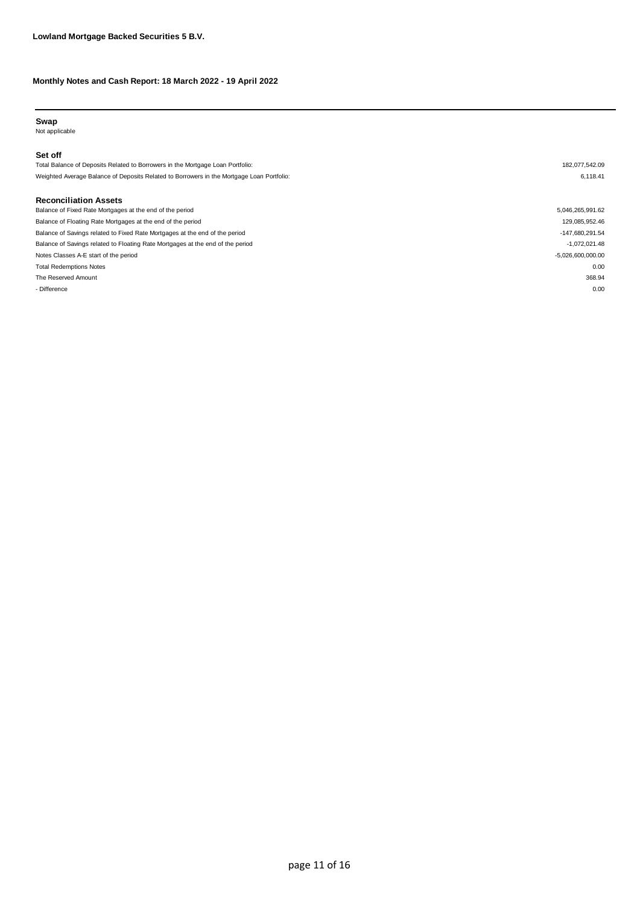#### **Swap**

Not applicable

#### **Set off**

Total Balance of Deposits Related to Borrowers in the Mortgage Loan Portfolio: 182,077,542.09 Weighted Average Balance of Deposits Related to Borrowers in the Mortgage Loan Portfolio: 6,118.41

#### **Reconciliation Assets**

| Balance of Fixed Rate Mortgages at the end of the period                       | 5,046,265,991.62    |
|--------------------------------------------------------------------------------|---------------------|
| Balance of Floating Rate Mortgages at the end of the period                    | 129,085,952.46      |
| Balance of Savings related to Fixed Rate Mortgages at the end of the period    | -147,680,291.54     |
| Balance of Savings related to Floating Rate Mortgages at the end of the period | $-1,072,021.48$     |
| Notes Classes A-E start of the period                                          | $-5,026,600,000.00$ |
| <b>Total Redemptions Notes</b>                                                 | 0.00                |
| The Reserved Amount                                                            | 368.94              |
| - Difference                                                                   | 0.00                |
|                                                                                |                     |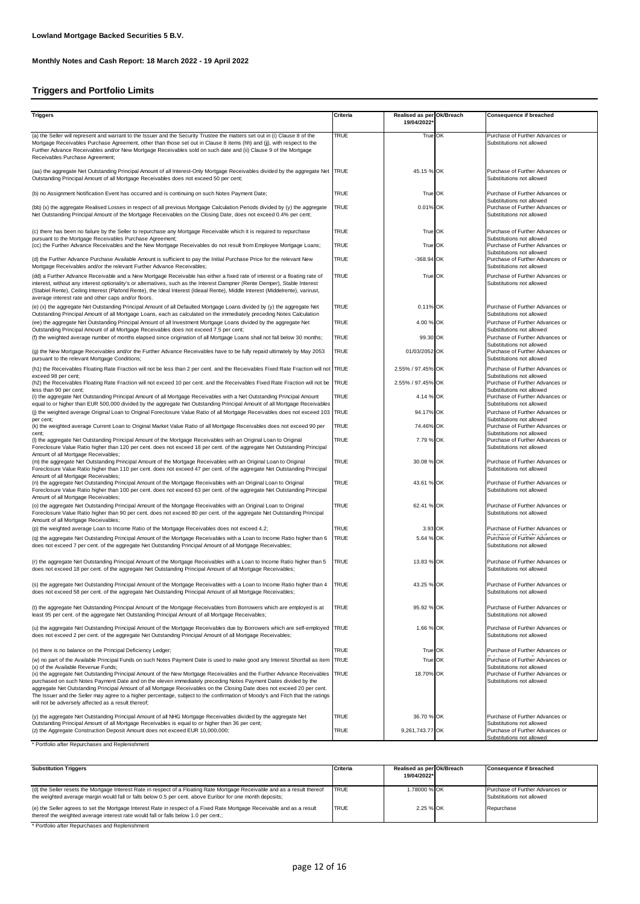# **Triggers and Portfolio Limits**

| <b>Triggers</b>                                                                                                                                                                                                                                                                                                                                                                                                                                  | <b>Criteria</b> | Realised as per Ok/Breach | Consequence if breached                                                                   |
|--------------------------------------------------------------------------------------------------------------------------------------------------------------------------------------------------------------------------------------------------------------------------------------------------------------------------------------------------------------------------------------------------------------------------------------------------|-----------------|---------------------------|-------------------------------------------------------------------------------------------|
|                                                                                                                                                                                                                                                                                                                                                                                                                                                  |                 | 19/04/2022                |                                                                                           |
| (a) the Seller will represent and warrant to the Issuer and the Security Trustee the matters set out in (i) Clause 8 of the<br>Mortgage Receivables Purchase Agreement, other than those set out in Clause 8 items (hh) and (jj), with respect to the<br>Further Advance Receivables and/or New Mortgage Receivables sold on such date and (ii) Clause 9 of the Mortgage<br>Receivables Purchase Agreement;                                      | <b>TRUE</b>     | True OK                   | Purchase of Further Advances or<br>Substitutions not allowed                              |
| (aa) the aggregate Net Outstanding Principal Amount of all Interest-Only Mortgage Receivables divided by the aggregate Net TRUE<br>Outstanding Principal Amount of all Mortgage Receivables does not exceed 50 per cent;                                                                                                                                                                                                                         |                 | 45.15 % OK                | Purchase of Further Advances or<br>Substitutions not allowed                              |
| (b) no Assignment Notification Event has occurred and is continuing on such Notes Payment Date;                                                                                                                                                                                                                                                                                                                                                  | TRUE            | True OK                   | Purchase of Further Advances or                                                           |
| (bb) (x) the aggregate Realised Losses in respect of all previous Mortgage Calculation Periods divided by (y) the aggregate<br>Net Outstanding Principal Amount of the Mortgage Receivables on the Closing Date, does not exceed 0.4% per cent;                                                                                                                                                                                                  | <b>TRUE</b>     | 0.01% OK                  | Substitutions not allowed<br>Purchase of Further Advances or<br>Substitutions not allowed |
| (c) there has been no failure by the Seller to repurchase any Mortgage Receivable which it is required to repurchase                                                                                                                                                                                                                                                                                                                             | TRUE            | True OK                   | Purchase of Further Advances or<br>Substitutions not allowed                              |
| pursuant to the Mortgage Receivables Purchase Agreement;<br>(cc) the Further Advance Receivables and the New Mortgage Receivables do not result from Employee Mortgage Loans;                                                                                                                                                                                                                                                                    | TRUE            | True OK                   | Purchase of Further Advances or<br>Substitutions not allowed                              |
| (d) the Further Advance Purchase Available Amount is sufficient to pay the Initial Purchase Price for the relevant New<br>Mortgage Receivables and/or the relevant Further Advance Receivables;                                                                                                                                                                                                                                                  | TRUE            | $-368.94$ OK              | Purchase of Further Advances or<br>Substitutions not allowed                              |
| (dd) a Further Advance Receivable and a New Mortgage Receivable has either a fixed rate of interest or a floating rate of<br>interest, without any interest optionality's or alternatives, such as the Interest Dampner (Rente Demper), Stable Interest<br>(Stabiel Rente), Ceiling Interest (Plafond Rente), the Ideal Interest (Ideaal Rente), Middle Interest (Middelrente), varirust,<br>average interest rate and other caps and/or floors. | TRUE            | True OK                   | Purchase of Further Advances or<br>Substitutions not allowed                              |
| (e) (x) the aggregate Net Outstanding Principal Amount of all Defaulted Mortgage Loans divided by (y) the aggregate Net<br>Outstanding Principal Amount of all Mortgage Loans, each as calculated on the immediately preceding Notes Calculation                                                                                                                                                                                                 | TRUE            | 0.11% OK                  | Purchase of Further Advances or<br>Substitutions not allowed                              |
| (ee) the aggregate Net Outstanding Principal Amount of all Investment Mortgage Loans divided by the aggregate Net<br>Outstanding Principal Amount of all Mortgage Receivables does not exceed 7.5 per cent;                                                                                                                                                                                                                                      | TRUE            | 4.00 % OK                 | Purchase of Further Advances or<br>Substitutions not allowed                              |
| (f) the weighted average number of months elapsed since origination of all Mortgage Loans shall not fall below 30 months;                                                                                                                                                                                                                                                                                                                        | <b>TRUE</b>     | 99.30 OK                  | Purchase of Further Advances or<br>Substitutions not allowed                              |
| (g) the New Mortgage Receivables and/or the Further Advance Receivables have to be fully repaid ultimately by May 2053<br>pursuant to the relevant Mortgage Conditions;                                                                                                                                                                                                                                                                          | <b>TRUE</b>     | 01/03/2052 OK             | Purchase of Further Advances or<br>Substitutions not allowed                              |
| (h1) the Receivables Floating Rate Fraction will not be less than 2 per cent. and the Receivables Fixed Rate Fraction will not TRUE<br>exceed 98 per cent;                                                                                                                                                                                                                                                                                       |                 | 2.55% / 97.45% OK         | Purchase of Further Advances or<br>Substitutions not allowed                              |
| (h2) the Receivables Floating Rate Fraction will not exceed 10 per cent. and the Receivables Fixed Rate Fraction will not be TRUE<br>less than 90 per cent;                                                                                                                                                                                                                                                                                      |                 | 2.55% / 97.45% OK         | Purchase of Further Advances or<br>Substitutions not allowed                              |
| (i) the aggregate Net Outstanding Principal Amount of all Mortgage Receivables with a Net Outstanding Principal Amount<br>equal to or higher than EUR 500,000 divided by the aggregate Net Outstanding Principal Amount of all Mortgage Receivables                                                                                                                                                                                              | TRUE            | 4.14 % OK                 | Purchase of Further Advances or<br>Substitutions not allowed                              |
| (i) the weighted average Original Loan to Original Foreclosure Value Ratio of all Mortgage Receivables does not exceed 103 TRUE<br>per cent;                                                                                                                                                                                                                                                                                                     |                 | 94.17% OK                 | Purchase of Further Advances or<br>Substitutions not allowed                              |
| (k) the weighted average Current Loan to Original Market Value Ratio of all Mortgage Receivables does not exceed 90 per<br>cent;                                                                                                                                                                                                                                                                                                                 | TRUE            | 74.46% OK                 | Purchase of Further Advances or<br>Substitutions not allowed                              |
| (I) the aggregate Net Outstanding Principal Amount of the Mortgage Receivables with an Original Loan to Original<br>Foreclosure Value Ratio higher than 120 per cent. does not exceed 18 per cent. of the aggregate Net Outstanding Principal<br>Amount of all Mortgage Receivables;                                                                                                                                                             | TRUE            | 7.79 % OK                 | Purchase of Further Advances or<br>Substitutions not allowed                              |
| (m) the aggregate Net Outstanding Principal Amount of the Mortgage Receivables with an Original Loan to Original<br>Foreclosure Value Ratio higher than 110 per cent. does not exceed 47 per cent. of the aggregate Net Outstanding Principal<br>Amount of all Mortgage Receivables;                                                                                                                                                             | TRUE            | 30.08 % OK                | Purchase of Further Advances or<br>Substitutions not allowed                              |
| (n) the aggregate Net Outstanding Principal Amount of the Mortgage Receivables with an Original Loan to Original<br>Foreclosure Value Ratio higher than 100 per cent. does not exceed 63 per cent. of the aggregate Net Outstanding Principal<br>Amount of all Mortgage Receivables;                                                                                                                                                             | <b>TRUE</b>     | 43.61 % OK                | Purchase of Further Advances or<br>Substitutions not allowed                              |
| (o) the aggregate Net Outstanding Principal Amount of the Mortgage Receivables with an Original Loan to Original<br>Foreclosure Value Ratio higher than 90 per cent. does not exceed 80 per cent. of the aggregate Net Outstanding Principal<br>Amount of all Mortgage Receivables;                                                                                                                                                              | <b>TRUE</b>     | 62.41 % OK                | Purchase of Further Advances or<br>Substitutions not allowed                              |
| (p) the weighted average Loan to Income Ratio of the Mortgage Receivables does not exceed 4.2;                                                                                                                                                                                                                                                                                                                                                   | TRUE            | 3.93 OK                   | Purchase of Further Advances or<br>And a control                                          |
| (q) the aggregate Net Outstanding Principal Amount of the Mortgage Receivables with a Loan to Income Ratio higher than 6<br>does not exceed 7 per cent. of the aggregate Net Outstanding Principal Amount of all Mortgage Receivables;                                                                                                                                                                                                           | TRUE            | 5.64 % OK                 | Purchase of Further Advances or<br>Substitutions not allowed                              |
| (r) the aggregate Net Outstanding Principal Amount of the Mortgage Receivables with a Loan to Income Ratio higher than 5<br>does not exceed 18 per cent. of the aggregate Net Outstanding Principal Amount of all Mortgage Receivables;                                                                                                                                                                                                          | TRUE            | 13.83 % OK                | Purchase of Further Advances or<br>Substitutions not allowed                              |
| (s) the aggregate Net Outstanding Principal Amount of the Mortgage Receivables with a Loan to Income Ratio higher than 4<br>does not exceed 58 per cent. of the aggregate Net Outstanding Principal Amount of all Mortgage Receivables;                                                                                                                                                                                                          | TRUE            | 43.25 % OK                | Purchase of Further Advances or<br>Substitutions not allowed                              |
| (t) the aggregate Net Outstanding Principal Amount of the Mortgage Receivables from Borrowers which are employed is at<br>least 95 per cent. of the aggregate Net Outstanding Principal Amount of all Mortgage Receivables;                                                                                                                                                                                                                      | <b>TRUE</b>     | 95.92 % OK                | Purchase of Further Advances or<br>Substitutions not allowed                              |
| (u) the aggregate Net Outstanding Principal Amount of the Mortgage Receivables due by Borrowers which are self-employed TRUE<br>does not exceed 2 per cent. of the aggregate Net Outstanding Principal Amount of all Mortgage Receivables;                                                                                                                                                                                                       |                 | 1.66 % OK                 | Purchase of Further Advances or<br>Substitutions not allowed                              |
| (v) there is no balance on the Principal Deficiency Ledger;                                                                                                                                                                                                                                                                                                                                                                                      | TRUE            | True OK                   | Purchase of Further Advances or<br>n a shekar                                             |
| (w) no part of the Available Principal Funds on such Notes Payment Date is used to make good any Interest Shortfall as item TRUE<br>(x) of the Available Revenue Funds;                                                                                                                                                                                                                                                                          |                 | True OK                   | Purchase of Further Advances or<br>Substitutions not allowed                              |
| (x) the aggregate Net Outstanding Principal Amount of the New Mortgage Receivables and the Further Advance Receivables TRUE<br>purchased on such Notes Payment Date and on the eleven immediately preceding Notes Payment Dates divided by the<br>aggregate Net Outstanding Principal Amount of all Mortgage Receivables on the Closing Date does not exceed 20 per cent.                                                                        |                 | 18.70% OK                 | Purchase of Further Advances or<br>Substitutions not allowed                              |
| The Issuer and the Seller may agree to a higher percentage, subject to the confirmation of Moody's and Fitch that the ratings<br>will not be adversely affected as a result thereof;                                                                                                                                                                                                                                                             |                 |                           |                                                                                           |
| (y) the aggregate Net Outstanding Principal Amount of all NHG Mortgage Receivables divided by the aggregate Net                                                                                                                                                                                                                                                                                                                                  | TRUE            | 36.70 % OK                | Purchase of Further Advances or                                                           |
| Outstanding Principal Amount of all Mortgage Receivables is equal to or higher than 36 per cent;<br>(z) the Aggregate Construction Deposit Amount does not exceed EUR 10,000,000;                                                                                                                                                                                                                                                                | TRUE            | 9,261,743.77 OK           | Substitutions not allowed<br>Purchase of Further Advances or<br>Substitutions not allowed |

\* Portfolio after Repurchases and Replenishment

| <b>Substitution Triggers</b>                                                                                                                                                                                                            | Criteria     | Realised as per Ok/Breach<br>19/04/2022* | <b>Consequence if breached</b>                               |
|-----------------------------------------------------------------------------------------------------------------------------------------------------------------------------------------------------------------------------------------|--------------|------------------------------------------|--------------------------------------------------------------|
| (d) the Seller resets the Mortgage Interest Rate in respect of a Floating Rate Mortgage Receivable and as a result thereof<br>the weighted average margin would fall or falls below 0.5 per cent. above Euribor for one month deposits; | <b>TRUE</b>  | 1.78000 % OK                             | Purchase of Further Advances or<br>Substitutions not allowed |
| (e) the Seller agrees to set the Mortgage Interest Rate in respect of a Fixed Rate Mortgage Receivable and as a result<br>thereof the weighted average interest rate would fall or falls below 1.0 per cent.;                           | <b>ITRUE</b> | 2.25 % OK                                | Repurchase                                                   |

\* Portfolio after Repurchases and Replenishment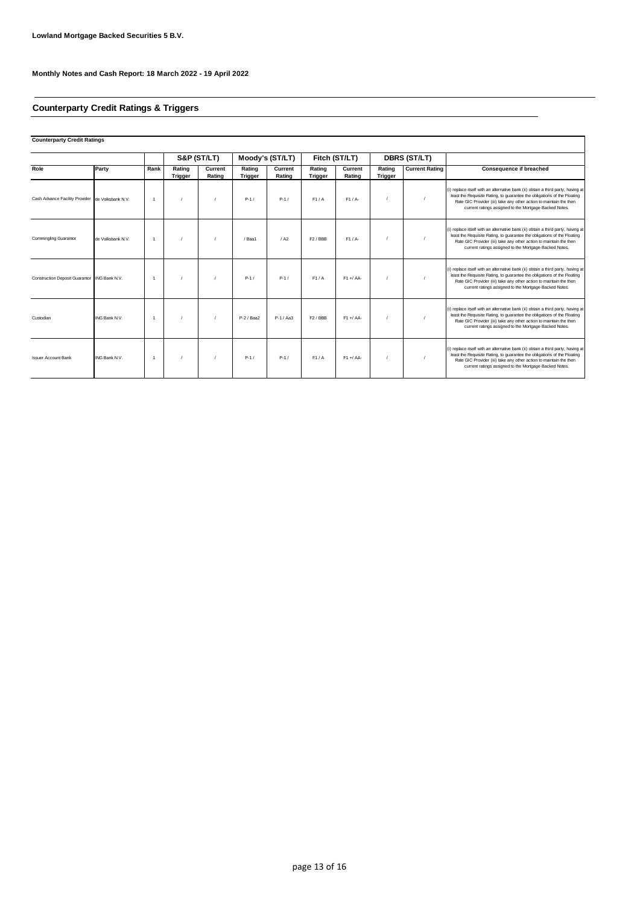# **Counterparty Credit Ratings & Triggers**

| <b>Counterparty Credit Ratings</b>               |                   |                |                   |                   |                          |                   |                          |                   |                          |                       |                                                                                                                                                                                                                                                                                              |
|--------------------------------------------------|-------------------|----------------|-------------------|-------------------|--------------------------|-------------------|--------------------------|-------------------|--------------------------|-----------------------|----------------------------------------------------------------------------------------------------------------------------------------------------------------------------------------------------------------------------------------------------------------------------------------------|
|                                                  |                   |                |                   | S&P (ST/LT)       |                          | Moody's (ST/LT)   |                          | Fitch (ST/LT)     |                          | <b>DBRS (ST/LT)</b>   |                                                                                                                                                                                                                                                                                              |
| Role                                             | Party             | Rank           | Rating<br>Trigger | Current<br>Rating | Rating<br><b>Trigger</b> | Current<br>Rating | Rating<br><b>Trigger</b> | Current<br>Rating | Rating<br><b>Trigger</b> | <b>Current Rating</b> | Consequence if breached                                                                                                                                                                                                                                                                      |
| Cash Advance Facility Provider de Volksbank N.V. |                   | $\overline{1}$ |                   |                   | $P-1/$                   | $P-1/$            | F1/A                     | $F1/A-$           |                          |                       | (i) replace itself with an alternative bank (ii) obtain a third party, having at<br>least the Requisite Rating, to guarantee the obligations of the Floating<br>Rate GIC Provider (iii) take any other action to maintain the then<br>current ratings assigned to the Mortgage-Backed Notes. |
| <b>Commingling Guarantor</b>                     | de Volksbank N.V. |                |                   |                   | / Baa1                   | / A2              | F <sub>2</sub> / BBB     | $F1/A-$           |                          |                       | (i) replace itself with an alternative bank (ii) obtain a third party, having at<br>least the Requisite Rating, to quarantee the obligations of the Floating<br>Rate GIC Provider (iii) take any other action to maintain the then<br>current ratings assigned to the Mortgage-Backed Notes. |
| Construction Deposit Guarantor ING Bank N.V.     |                   |                |                   |                   | $P-1/$                   | $P-1/$            | F1/A                     | $F1 + A$          |                          |                       | (i) replace itself with an alternative bank (ii) obtain a third party, having at<br>least the Requisite Rating, to guarantee the obligations of the Floating<br>Rate GIC Provider (iii) take any other action to maintain the then<br>current ratings assigned to the Mortgage-Backed Notes. |
| Custodian                                        | ING Bank N.V.     | $\overline{1}$ |                   |                   | P-2 / Baa2               | P-1 / Aa3         | $F2$ / BBB               | $F1 + A$          |                          |                       | (i) replace itself with an alternative bank (ii) obtain a third party, having at<br>least the Requisite Rating, to quarantee the obligations of the Floating<br>Rate GIC Provider (iii) take any other action to maintain the then<br>current ratings assigned to the Mortgage-Backed Notes. |
| <b>Issuer Account Bank</b>                       | ING Bank N.V.     | $\overline{1}$ |                   |                   | $P-1/$                   | $P-1/$            | F1/A                     | $F1 + A$          |                          |                       | (i) replace itself with an alternative bank (ii) obtain a third party, having at<br>least the Requisite Rating, to quarantee the obligations of the Floating<br>Rate GIC Provider (iii) take any other action to maintain the then<br>current ratings assigned to the Mortgage-Backed Notes. |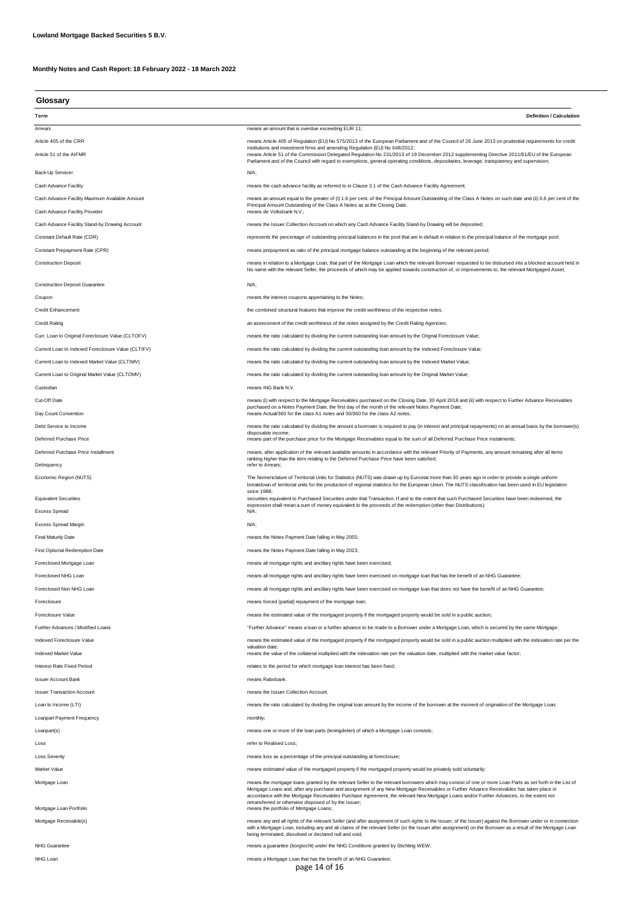**Monthly Notes and Cash Report: 18 February 2022 - 18 March 2022**

| Glossary |  |
|----------|--|

| unuuun y                                           |                                                                                                                                                                                                                                                                                                                                                                           |
|----------------------------------------------------|---------------------------------------------------------------------------------------------------------------------------------------------------------------------------------------------------------------------------------------------------------------------------------------------------------------------------------------------------------------------------|
| Term                                               | <b>Definition / Calculation</b>                                                                                                                                                                                                                                                                                                                                           |
| Arrears                                            | means an amount that is overdue exceeding EUR 11;                                                                                                                                                                                                                                                                                                                         |
| Article 405 of the CRR                             | means Article 405 of Regulation (EU) No 575/2013 of the European Parliament and of the Council of 26 June 2013 on prudential requirements for credit                                                                                                                                                                                                                      |
| Article 51 of the AIFMR                            | institutions and investment firms and amending Regulation (EU) No 648/2012;<br>means Article 51 of the Commission Delegated Regulation No 231/2013 of 19 December 2012 supplementing Directive 2011/61/EU of the European<br>Parliament and of the Council with regard to exemptions, general operating conditions, depositaries, leverage, transparency and supervision; |
| Back-Up Servicer                                   | N/A;                                                                                                                                                                                                                                                                                                                                                                      |
| Cash Advance Facility                              | means the cash advance facility as referred to in Clause 3.1 of the Cash Advance Facility Agreement;                                                                                                                                                                                                                                                                      |
| Cash Advance Facility Maximum Available Amount     | means an amount equal to the greater of (i) 1.6 per cent. of the Principal Amount Outstanding of the Class A Notes on such date and (ii) 0.6 per cent of the<br>Principal Amount Outstanding of the Class A Notes as at the Closing Date.                                                                                                                                 |
| Cash Advance Facility Provider                     | means de Volksbank N.V.;                                                                                                                                                                                                                                                                                                                                                  |
| Cash Advance Facility Stand-by Drawing Account     | means the Issuer Collection Account on which any Cash Advance Facility Stand-by Drawing will be deposited;                                                                                                                                                                                                                                                                |
| Constant Default Rate (CDR)                        | represents the percentage of outstanding principal balances in the pool that are in default in relation to the principal balance of the mortgage pool;                                                                                                                                                                                                                    |
| Constant Prepayment Rate (CPR)                     | means prepayment as ratio of the principal mortgage balance outstanding at the beginning of the relevant period;                                                                                                                                                                                                                                                          |
| <b>Construction Deposit</b>                        | means in relation to a Mortgage Loan, that part of the Mortgage Loan which the relevant Borrower requested to be disbursed into a blocked account held in<br>his name with the relevant Seller, the proceeds of which may be applied towards construction of, or improvements to, the relevant Mortgaged Asset;                                                           |
| <b>Construction Deposit Guarantee</b>              | N/A;                                                                                                                                                                                                                                                                                                                                                                      |
| Coupon                                             | means the interest coupons appertaining to the Notes;                                                                                                                                                                                                                                                                                                                     |
| <b>Credit Enhancement</b>                          | the combined structural features that improve the credit worthiness of the respective notes.                                                                                                                                                                                                                                                                              |
| <b>Credit Rating</b>                               | an assessment of the credit worthiness of the notes assigned by the Credit Rating Agencies;                                                                                                                                                                                                                                                                               |
| Curr. Loan to Original Foreclosure Value (CLTOFV)  | means the ratio calculated by dividing the current outstanding loan amount by the Orignal Foreclosure Value;                                                                                                                                                                                                                                                              |
| Current Loan to Indexed Foreclosure Value (CLTIFV) | means the ratio calculated by dividing the current outstanding loan amount by the Indexed Foreclosure Value;                                                                                                                                                                                                                                                              |
| Current Loan to Indexed Market Value (CLTIMV)      | means the ratio calculated by dividing the current outstanding loan amount by the Indexed Market Value;                                                                                                                                                                                                                                                                   |
| Current Loan to Original Market Value (CLTOMV)     | means the ratio calculated by dividing the current outstanding loan amount by the Original Market Value;                                                                                                                                                                                                                                                                  |
| Custodian                                          | means ING Bank N.V.                                                                                                                                                                                                                                                                                                                                                       |
| Cut-Off Date                                       | means (i) with respect to the Mortgage Receivables purchased on the Closing Date, 30 April 2018 and (ii) with respect to Further Advance Receivables                                                                                                                                                                                                                      |
| Day Count Convention                               | purchased on a Notes Payment Date, the first day of the month of the relevant Notes Payment Date;<br>means Actual/360 for the class A1 notes and 30/360 for the class A2 notes;                                                                                                                                                                                           |
| Debt Service to Income                             | means the ratio calculated by dividing the amount a borrower is required to pay (in interest and principal repayments) on an annual basis by the borrower(s)                                                                                                                                                                                                              |
| Deferred Purchase Price                            | disposable income;<br>means part of the purchase price for the Mortgage Receivables equal to the sum of all Deferred Purchase Price Instalments;                                                                                                                                                                                                                          |
| Deferred Purchase Price Installment                | means, after application of the relevant available amounts in accordance with the relevant Priority of Payments, any amount remaining after all items                                                                                                                                                                                                                     |
| Delinguency                                        | ranking higher than the item relating to the Deferred Purchase Price have been satisfied;<br>refer to Arrears;                                                                                                                                                                                                                                                            |
| Economic Region (NUTS)                             | The Nomenclature of Territorial Units for Statistics (NUTS) was drawn up by Eurostat more than 30 years ago in order to provide a single uniform<br>breakdown of territorial units for the production of regional statistics for the European Union. The NUTS classification has been used in EU legislation                                                              |
| <b>Equivalent Securities</b>                       | since 1988;<br>securities equivalent to Purchased Securities under that Transaction. If and to the extent that such Purchased Securities have been redeemed, the<br>expression shall mean a sum of money equivalent to the proceeds of the redemption (other than Distributions);                                                                                         |
| <b>Excess Spread</b>                               | $N/A$ ;                                                                                                                                                                                                                                                                                                                                                                   |
| <b>Excess Spread Margin</b>                        | $N/A$ ;                                                                                                                                                                                                                                                                                                                                                                   |
| <b>Final Maturity Date</b>                         | means the Notes Payment Date falling in May 2055;                                                                                                                                                                                                                                                                                                                         |
| <b>First Optional Redemption Date</b>              | means the Notes Payment Date falling in May 2023;                                                                                                                                                                                                                                                                                                                         |
| Foreclosed Mortgage Loan                           | means all mortgage rights and ancillary rights have been exercised;                                                                                                                                                                                                                                                                                                       |
| Foreclosed NHG Loan                                | means all mortgage rights and ancillary rights have been exercised on mortgage loan that has the benefit of an NHG Guarantee;                                                                                                                                                                                                                                             |
| Foreclosed Non NHG Loan                            | means all mortgage rights and ancillary rights have been exercised on mortgage loan that does not have the benefit of an NHG Guarantee;                                                                                                                                                                                                                                   |
| Foreclosure                                        | means forced (partial) repayment of the mortgage loan;                                                                                                                                                                                                                                                                                                                    |
| Foreclosure Value                                  | means the estimated value of the mortgaged property if the mortgaged property would be sold in a public auction;                                                                                                                                                                                                                                                          |
| Further Advances / Modified Loans                  | "Further Advance" means a loan or a further advance to be made to a Borrower under a Mortgage Loan, which is secured by the same Mortgage;                                                                                                                                                                                                                                |
| Indexed Foreclosure Value                          | means the estimated value of the mortgaged property if the mortgaged property would be sold in a public auction multiplied with the indexation rate per the                                                                                                                                                                                                               |
| <b>Indexed Market Value</b>                        | valuation date;<br>means the value of the collateral multiplied with the indexation rate per the valuation date, multiplied with the market value factor;                                                                                                                                                                                                                 |
| Interest Rate Fixed Period                         | relates to the period for which mortgage loan interest has been fixed;                                                                                                                                                                                                                                                                                                    |
| <b>Issuer Account Bank</b>                         | means Rabobank.                                                                                                                                                                                                                                                                                                                                                           |
| <b>Issuer Transaction Account</b>                  | means the Issuer Collection Account.                                                                                                                                                                                                                                                                                                                                      |
| Loan to Income (LTI)                               | means the ratio calculated by dividing the original loan amount by the income of the borrower at the moment of origination of the Mortgage Loan;                                                                                                                                                                                                                          |

| Loanpart Payment Frequency               | monthly;                                                                                                                                                                                                                                                                                                                                                                                                                                                                                                                                           |
|------------------------------------------|----------------------------------------------------------------------------------------------------------------------------------------------------------------------------------------------------------------------------------------------------------------------------------------------------------------------------------------------------------------------------------------------------------------------------------------------------------------------------------------------------------------------------------------------------|
| Loanpart(s)                              | means one or more of the loan parts (leningdelen) of which a Mortgage Loan consists;                                                                                                                                                                                                                                                                                                                                                                                                                                                               |
| Loss                                     | refer to Realised Loss;                                                                                                                                                                                                                                                                                                                                                                                                                                                                                                                            |
| <b>Loss Severity</b>                     | means loss as a percentage of the principal outstanding at foreclosure;                                                                                                                                                                                                                                                                                                                                                                                                                                                                            |
| Market Value                             | means estimated value of the mortgaged property if the mortgaged property would be privately sold voluntarily;                                                                                                                                                                                                                                                                                                                                                                                                                                     |
| Mortgage Loan<br>Mortgage Loan Portfolio | means the mortgage loans granted by the relevant Seller to the relevant borrowers which may consist of one or more Loan Parts as set forth in the List of<br>Mortgage Loans and, after any purchase and assignment of any New Mortgage Receivables or Further Advance Receivables has taken place in<br>accordance with the Mortgage Receivables Purchase Agreement, the relevant New Mortgage Loans and/or Further Advances, to the extent not<br>retransferred or otherwise disposed of by the Issuer:<br>means the portfolio of Mortgage Loans; |
| Mortgage Receivable(s)                   | means any and all rights of the relevant Seller (and after assignment of such rights to the Issuer, of the Issuer) against the Borrower under or in connection<br>with a Mortgage Loan, including any and all claims of the relevant Seller (or the Issuer after assignment) on the Borrower as a result of the Mortgage Loan<br>being terminated, dissolved or declared null and void;                                                                                                                                                            |
| <b>NHG Guarantee</b>                     | means a quarantee (borgtocht) under the NHG Conditions granted by Stichting WEW;                                                                                                                                                                                                                                                                                                                                                                                                                                                                   |
| NHG Loan                                 | means a Mortgage Loan that has the benefit of an NHG Guarantee;<br>page 14 of 16                                                                                                                                                                                                                                                                                                                                                                                                                                                                   |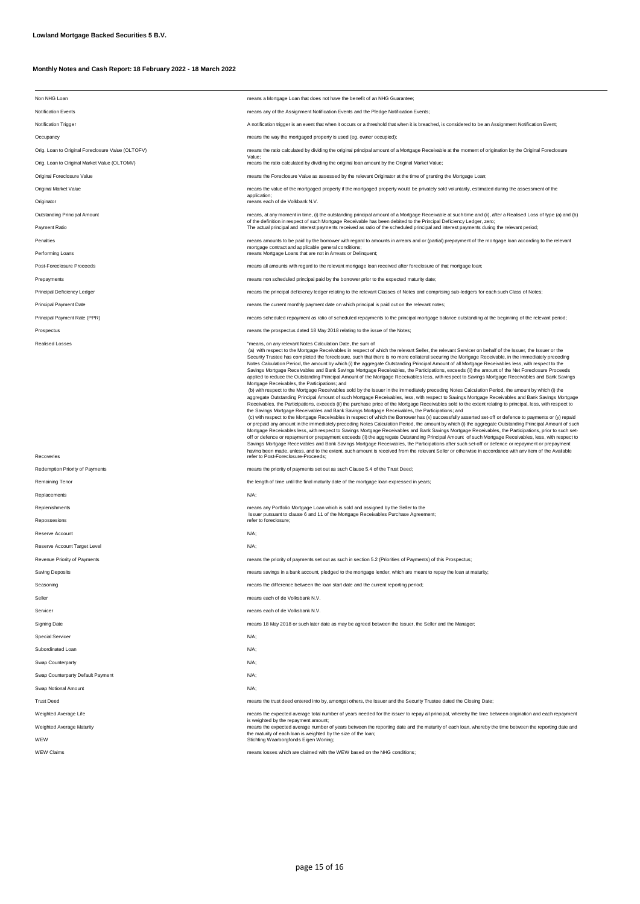## **Monthly Notes and Cash Report: 18 February 2022 - 18 March 2022**

| Non NHG Loan                                      | means a Mortgage Loan that does not have the benefit of an NHG Guarantee;                                                                                                                                                                                                                                                                                                                                                                                                                                                                                                                                                                                                                                                                                                                                                                                                                                                                                                                                                                                                                                                                                                                                                                                                                                                                                                                                                                                                                                                                                                                                                                                                                                                                                                                                                                                                                                                                                                                                                                                                                                                                                                                                |
|---------------------------------------------------|----------------------------------------------------------------------------------------------------------------------------------------------------------------------------------------------------------------------------------------------------------------------------------------------------------------------------------------------------------------------------------------------------------------------------------------------------------------------------------------------------------------------------------------------------------------------------------------------------------------------------------------------------------------------------------------------------------------------------------------------------------------------------------------------------------------------------------------------------------------------------------------------------------------------------------------------------------------------------------------------------------------------------------------------------------------------------------------------------------------------------------------------------------------------------------------------------------------------------------------------------------------------------------------------------------------------------------------------------------------------------------------------------------------------------------------------------------------------------------------------------------------------------------------------------------------------------------------------------------------------------------------------------------------------------------------------------------------------------------------------------------------------------------------------------------------------------------------------------------------------------------------------------------------------------------------------------------------------------------------------------------------------------------------------------------------------------------------------------------------------------------------------------------------------------------------------------------|
| <b>Notification Events</b>                        | means any of the Assignment Notification Events and the Pledge Notification Events;                                                                                                                                                                                                                                                                                                                                                                                                                                                                                                                                                                                                                                                                                                                                                                                                                                                                                                                                                                                                                                                                                                                                                                                                                                                                                                                                                                                                                                                                                                                                                                                                                                                                                                                                                                                                                                                                                                                                                                                                                                                                                                                      |
| <b>Notification Trigger</b>                       | A notification trigger is an event that when it occurs or a threshold that when it is breached, is considered to be an Assignment Notification Event;                                                                                                                                                                                                                                                                                                                                                                                                                                                                                                                                                                                                                                                                                                                                                                                                                                                                                                                                                                                                                                                                                                                                                                                                                                                                                                                                                                                                                                                                                                                                                                                                                                                                                                                                                                                                                                                                                                                                                                                                                                                    |
| Occupancy                                         | means the way the mortgaged property is used (eg. owner occupied);                                                                                                                                                                                                                                                                                                                                                                                                                                                                                                                                                                                                                                                                                                                                                                                                                                                                                                                                                                                                                                                                                                                                                                                                                                                                                                                                                                                                                                                                                                                                                                                                                                                                                                                                                                                                                                                                                                                                                                                                                                                                                                                                       |
| Orig. Loan to Original Foreclosure Value (OLTOFV) | means the ratio calculated by dividing the original principal amount of a Mortgage Receivable at the moment of origination by the Original Foreclosure                                                                                                                                                                                                                                                                                                                                                                                                                                                                                                                                                                                                                                                                                                                                                                                                                                                                                                                                                                                                                                                                                                                                                                                                                                                                                                                                                                                                                                                                                                                                                                                                                                                                                                                                                                                                                                                                                                                                                                                                                                                   |
| Orig. Loan to Original Market Value (OLTOMV)      | Value;<br>means the ratio calculated by dividing the original loan amount by the Original Market Value;                                                                                                                                                                                                                                                                                                                                                                                                                                                                                                                                                                                                                                                                                                                                                                                                                                                                                                                                                                                                                                                                                                                                                                                                                                                                                                                                                                                                                                                                                                                                                                                                                                                                                                                                                                                                                                                                                                                                                                                                                                                                                                  |
| Original Foreclosure Value                        | means the Foreclosure Value as assessed by the relevant Originator at the time of granting the Mortgage Loan;                                                                                                                                                                                                                                                                                                                                                                                                                                                                                                                                                                                                                                                                                                                                                                                                                                                                                                                                                                                                                                                                                                                                                                                                                                                                                                                                                                                                                                                                                                                                                                                                                                                                                                                                                                                                                                                                                                                                                                                                                                                                                            |
| <b>Original Market Value</b>                      | means the value of the mortgaged property if the mortgaged property would be privately sold voluntarily, estimated during the assessment of the<br>application;                                                                                                                                                                                                                                                                                                                                                                                                                                                                                                                                                                                                                                                                                                                                                                                                                                                                                                                                                                                                                                                                                                                                                                                                                                                                                                                                                                                                                                                                                                                                                                                                                                                                                                                                                                                                                                                                                                                                                                                                                                          |
| Originator                                        | means each of de Volkbank N.V.                                                                                                                                                                                                                                                                                                                                                                                                                                                                                                                                                                                                                                                                                                                                                                                                                                                                                                                                                                                                                                                                                                                                                                                                                                                                                                                                                                                                                                                                                                                                                                                                                                                                                                                                                                                                                                                                                                                                                                                                                                                                                                                                                                           |
| <b>Outstanding Principal Amount</b>               | means, at any moment in time, (i) the outstanding principal amount of a Mortgage Receivable at such time and (ii), after a Realised Loss of type (a) and (b)<br>of the definition in respect of such Mortgage Receivable has been debited to the Principal Deficiency Ledger, zero;                                                                                                                                                                                                                                                                                                                                                                                                                                                                                                                                                                                                                                                                                                                                                                                                                                                                                                                                                                                                                                                                                                                                                                                                                                                                                                                                                                                                                                                                                                                                                                                                                                                                                                                                                                                                                                                                                                                      |
| Payment Ratio                                     | The actual principal and interest payments received as ratio of the scheduled principal and interest payments during the relevant period;                                                                                                                                                                                                                                                                                                                                                                                                                                                                                                                                                                                                                                                                                                                                                                                                                                                                                                                                                                                                                                                                                                                                                                                                                                                                                                                                                                                                                                                                                                                                                                                                                                                                                                                                                                                                                                                                                                                                                                                                                                                                |
| Penalties<br>Performing Loans                     | means amounts to be paid by the borrower with regard to amounts in arrears and or (partial) prepayment of the mortgage loan according to the relevant<br>mortgage contract and applicable general conditions;<br>means Mortgage Loans that are not in Arrears or Delinquent;                                                                                                                                                                                                                                                                                                                                                                                                                                                                                                                                                                                                                                                                                                                                                                                                                                                                                                                                                                                                                                                                                                                                                                                                                                                                                                                                                                                                                                                                                                                                                                                                                                                                                                                                                                                                                                                                                                                             |
| Post-Foreclosure Proceeds                         | means all amounts with regard to the relevant mortgage loan received after foreclosure of that mortgage loan;                                                                                                                                                                                                                                                                                                                                                                                                                                                                                                                                                                                                                                                                                                                                                                                                                                                                                                                                                                                                                                                                                                                                                                                                                                                                                                                                                                                                                                                                                                                                                                                                                                                                                                                                                                                                                                                                                                                                                                                                                                                                                            |
| Prepayments                                       | means non scheduled principal paid by the borrower prior to the expected maturity date;                                                                                                                                                                                                                                                                                                                                                                                                                                                                                                                                                                                                                                                                                                                                                                                                                                                                                                                                                                                                                                                                                                                                                                                                                                                                                                                                                                                                                                                                                                                                                                                                                                                                                                                                                                                                                                                                                                                                                                                                                                                                                                                  |
| Principal Deficiency Ledger                       | means the principal deficiency ledger relating to the relevant Classes of Notes and comprising sub-ledgers for each such Class of Notes;                                                                                                                                                                                                                                                                                                                                                                                                                                                                                                                                                                                                                                                                                                                                                                                                                                                                                                                                                                                                                                                                                                                                                                                                                                                                                                                                                                                                                                                                                                                                                                                                                                                                                                                                                                                                                                                                                                                                                                                                                                                                 |
| Principal Payment Date                            | means the current monthly payment date on which principal is paid out on the relevant notes;                                                                                                                                                                                                                                                                                                                                                                                                                                                                                                                                                                                                                                                                                                                                                                                                                                                                                                                                                                                                                                                                                                                                                                                                                                                                                                                                                                                                                                                                                                                                                                                                                                                                                                                                                                                                                                                                                                                                                                                                                                                                                                             |
| Principal Payment Rate (PPR)                      | means scheduled repayment as ratio of scheduled repayments to the principal mortgage balance outstanding at the beginning of the relevant period;                                                                                                                                                                                                                                                                                                                                                                                                                                                                                                                                                                                                                                                                                                                                                                                                                                                                                                                                                                                                                                                                                                                                                                                                                                                                                                                                                                                                                                                                                                                                                                                                                                                                                                                                                                                                                                                                                                                                                                                                                                                        |
|                                                   | means the prospectus dated 18 May 2018 relating to the issue of the Notes;                                                                                                                                                                                                                                                                                                                                                                                                                                                                                                                                                                                                                                                                                                                                                                                                                                                                                                                                                                                                                                                                                                                                                                                                                                                                                                                                                                                                                                                                                                                                                                                                                                                                                                                                                                                                                                                                                                                                                                                                                                                                                                                               |
| Prospectus<br><b>Realised Losses</b>              | "means, on any relevant Notes Calculation Date, the sum of                                                                                                                                                                                                                                                                                                                                                                                                                                                                                                                                                                                                                                                                                                                                                                                                                                                                                                                                                                                                                                                                                                                                                                                                                                                                                                                                                                                                                                                                                                                                                                                                                                                                                                                                                                                                                                                                                                                                                                                                                                                                                                                                               |
|                                                   | (a) with respect to the Mortgage Receivables in respect of which the relevant Seller, the relevant Servicer on behalf of the Issuer, the Issuer or the<br>Security Trustee has completed the foreclosure, such that there is no more collateral securing the Mortgage Receivable, in the immediately preceding<br>Notes Calculation Period, the amount by which (i) the aggregate Outstanding Principal Amount of all Mortgage Receivables less, with respect to the<br>Savings Mortgage Receivables and Bank Savings Mortgage Receivables, the Participations, exceeds (ii) the amount of the Net Foreclosure Proceeds<br>applied to reduce the Outstanding Principal Amount of the Mortgage Receivables less, with respect to Savings Mortgage Receivables and Bank Savings<br>Mortgage Receivables, the Participations; and<br>(b) with respect to the Mortgage Receivables sold by the Issuer in the immediately preceding Notes Calculation Period, the amount by which (i) the<br>aggregate Outstanding Principal Amount of such Mortgage Receivables, less, with respect to Savings Mortgage Receivables and Bank Savings Mortgage<br>Receivables, the Participations, exceeds (ii) the purchase price of the Mortgage Receivables sold to the extent relating to principal, less, with respect to<br>the Savings Mortgage Receivables and Bank Savings Mortgage Receivables, the Participations; and<br>(c) with respect to the Mortgage Receivables in respect of which the Borrower has (x) successfully asserted set-off or defence to payments or (y) repaid<br>or prepaid any amount in the immediately preceding Notes Calculation Period, the amount by which (i) the aggregate Outstanding Principal Amount of such<br>Mortgage Receivables less, with respect to Savings Mortgage Receivables and Bank Savings Mortgage Receivables, the Participations, prior to such set-<br>off or defence or repayment or prepayment exceeds (ii) the aggregate Outstanding Principal Amount of such Mortgage Receivables, less, with respect to<br>Savings Mortgage Receivables and Bank Savings Mortgage Receivables, the Participations after such set-off or defence or repayment or prepayment |
| Recoveries                                        | having been made, unless, and to the extent, such amount is received from the relevant Seller or otherwise in accordance with any item of the Available<br>refer to Post-Foreclosure-Proceeds;                                                                                                                                                                                                                                                                                                                                                                                                                                                                                                                                                                                                                                                                                                                                                                                                                                                                                                                                                                                                                                                                                                                                                                                                                                                                                                                                                                                                                                                                                                                                                                                                                                                                                                                                                                                                                                                                                                                                                                                                           |
| <b>Redemption Priority of Payments</b>            | means the priority of payments set out as such Clause 5.4 of the Trust Deed;                                                                                                                                                                                                                                                                                                                                                                                                                                                                                                                                                                                                                                                                                                                                                                                                                                                                                                                                                                                                                                                                                                                                                                                                                                                                                                                                                                                                                                                                                                                                                                                                                                                                                                                                                                                                                                                                                                                                                                                                                                                                                                                             |
| <b>Remaining Tenor</b>                            | the length of time until the final maturity date of the mortgage loan expressed in years;                                                                                                                                                                                                                                                                                                                                                                                                                                                                                                                                                                                                                                                                                                                                                                                                                                                                                                                                                                                                                                                                                                                                                                                                                                                                                                                                                                                                                                                                                                                                                                                                                                                                                                                                                                                                                                                                                                                                                                                                                                                                                                                |
| Replacements                                      | N/A;                                                                                                                                                                                                                                                                                                                                                                                                                                                                                                                                                                                                                                                                                                                                                                                                                                                                                                                                                                                                                                                                                                                                                                                                                                                                                                                                                                                                                                                                                                                                                                                                                                                                                                                                                                                                                                                                                                                                                                                                                                                                                                                                                                                                     |
| Replenishments                                    | means any Portfolio Mortgage Loan which is sold and assigned by the Seller to the<br>Issuer pursuant to clause 6 and 11 of the Mortgage Receivables Purchase Agreement;                                                                                                                                                                                                                                                                                                                                                                                                                                                                                                                                                                                                                                                                                                                                                                                                                                                                                                                                                                                                                                                                                                                                                                                                                                                                                                                                                                                                                                                                                                                                                                                                                                                                                                                                                                                                                                                                                                                                                                                                                                  |
| Repossesions                                      | refer to foreclosure;                                                                                                                                                                                                                                                                                                                                                                                                                                                                                                                                                                                                                                                                                                                                                                                                                                                                                                                                                                                                                                                                                                                                                                                                                                                                                                                                                                                                                                                                                                                                                                                                                                                                                                                                                                                                                                                                                                                                                                                                                                                                                                                                                                                    |
| Reserve Account                                   | N/A;                                                                                                                                                                                                                                                                                                                                                                                                                                                                                                                                                                                                                                                                                                                                                                                                                                                                                                                                                                                                                                                                                                                                                                                                                                                                                                                                                                                                                                                                                                                                                                                                                                                                                                                                                                                                                                                                                                                                                                                                                                                                                                                                                                                                     |
| Reserve Account Target Level                      | N/A;                                                                                                                                                                                                                                                                                                                                                                                                                                                                                                                                                                                                                                                                                                                                                                                                                                                                                                                                                                                                                                                                                                                                                                                                                                                                                                                                                                                                                                                                                                                                                                                                                                                                                                                                                                                                                                                                                                                                                                                                                                                                                                                                                                                                     |
| Revenue Priority of Payments                      | means the priority of payments set out as such in section 5.2 (Priorities of Payments) of this Prospectus;                                                                                                                                                                                                                                                                                                                                                                                                                                                                                                                                                                                                                                                                                                                                                                                                                                                                                                                                                                                                                                                                                                                                                                                                                                                                                                                                                                                                                                                                                                                                                                                                                                                                                                                                                                                                                                                                                                                                                                                                                                                                                               |
| <b>Saving Deposits</b>                            | means savings in a bank account, pledged to the mortgage lender, which are meant to repay the loan at maturity;                                                                                                                                                                                                                                                                                                                                                                                                                                                                                                                                                                                                                                                                                                                                                                                                                                                                                                                                                                                                                                                                                                                                                                                                                                                                                                                                                                                                                                                                                                                                                                                                                                                                                                                                                                                                                                                                                                                                                                                                                                                                                          |
| Seasoning                                         | means the difference between the loan start date and the current reporting period;                                                                                                                                                                                                                                                                                                                                                                                                                                                                                                                                                                                                                                                                                                                                                                                                                                                                                                                                                                                                                                                                                                                                                                                                                                                                                                                                                                                                                                                                                                                                                                                                                                                                                                                                                                                                                                                                                                                                                                                                                                                                                                                       |
| Seller                                            | means each of de Volksbank N.V.                                                                                                                                                                                                                                                                                                                                                                                                                                                                                                                                                                                                                                                                                                                                                                                                                                                                                                                                                                                                                                                                                                                                                                                                                                                                                                                                                                                                                                                                                                                                                                                                                                                                                                                                                                                                                                                                                                                                                                                                                                                                                                                                                                          |
| Servicer                                          | means each of de Volksbank N.V.                                                                                                                                                                                                                                                                                                                                                                                                                                                                                                                                                                                                                                                                                                                                                                                                                                                                                                                                                                                                                                                                                                                                                                                                                                                                                                                                                                                                                                                                                                                                                                                                                                                                                                                                                                                                                                                                                                                                                                                                                                                                                                                                                                          |
| <b>Signing Date</b>                               | means 18 May 2018 or such later date as may be agreed between the Issuer, the Seller and the Manager;                                                                                                                                                                                                                                                                                                                                                                                                                                                                                                                                                                                                                                                                                                                                                                                                                                                                                                                                                                                                                                                                                                                                                                                                                                                                                                                                                                                                                                                                                                                                                                                                                                                                                                                                                                                                                                                                                                                                                                                                                                                                                                    |
| <b>Special Servicer</b>                           | N/A;                                                                                                                                                                                                                                                                                                                                                                                                                                                                                                                                                                                                                                                                                                                                                                                                                                                                                                                                                                                                                                                                                                                                                                                                                                                                                                                                                                                                                                                                                                                                                                                                                                                                                                                                                                                                                                                                                                                                                                                                                                                                                                                                                                                                     |
| Subordinated Loan                                 | N/A;                                                                                                                                                                                                                                                                                                                                                                                                                                                                                                                                                                                                                                                                                                                                                                                                                                                                                                                                                                                                                                                                                                                                                                                                                                                                                                                                                                                                                                                                                                                                                                                                                                                                                                                                                                                                                                                                                                                                                                                                                                                                                                                                                                                                     |
| Swap Counterparty                                 | N/A;                                                                                                                                                                                                                                                                                                                                                                                                                                                                                                                                                                                                                                                                                                                                                                                                                                                                                                                                                                                                                                                                                                                                                                                                                                                                                                                                                                                                                                                                                                                                                                                                                                                                                                                                                                                                                                                                                                                                                                                                                                                                                                                                                                                                     |
| Swap Counterparty Default Payment                 | N/A;                                                                                                                                                                                                                                                                                                                                                                                                                                                                                                                                                                                                                                                                                                                                                                                                                                                                                                                                                                                                                                                                                                                                                                                                                                                                                                                                                                                                                                                                                                                                                                                                                                                                                                                                                                                                                                                                                                                                                                                                                                                                                                                                                                                                     |
| Swap Notional Amount                              | N/A;                                                                                                                                                                                                                                                                                                                                                                                                                                                                                                                                                                                                                                                                                                                                                                                                                                                                                                                                                                                                                                                                                                                                                                                                                                                                                                                                                                                                                                                                                                                                                                                                                                                                                                                                                                                                                                                                                                                                                                                                                                                                                                                                                                                                     |
| <b>Trust Deed</b>                                 | means the trust deed entered into by, amongst others, the Issuer and the Security Trustee dated the Closing Date;                                                                                                                                                                                                                                                                                                                                                                                                                                                                                                                                                                                                                                                                                                                                                                                                                                                                                                                                                                                                                                                                                                                                                                                                                                                                                                                                                                                                                                                                                                                                                                                                                                                                                                                                                                                                                                                                                                                                                                                                                                                                                        |

| Weighted Average Life     | means the expected average total number of years needed for the issuer to repay all principal, whereby the time between origination and each repayment |
|---------------------------|--------------------------------------------------------------------------------------------------------------------------------------------------------|
|                           | is weighted by the repayment amount;                                                                                                                   |
| Weighted Average Maturity | means the expected average number of years between the reporting date and the maturity of each loan, whereby the time between the reporting date and   |
|                           | the maturity of each loan is weighted by the size of the loan;                                                                                         |
| WEW                       | Stichting Waarborgfonds Eigen Woning;                                                                                                                  |
|                           |                                                                                                                                                        |

WEW Claims means losses which are claimed with the WEW based on the NHG conditions;

page 15 of 16